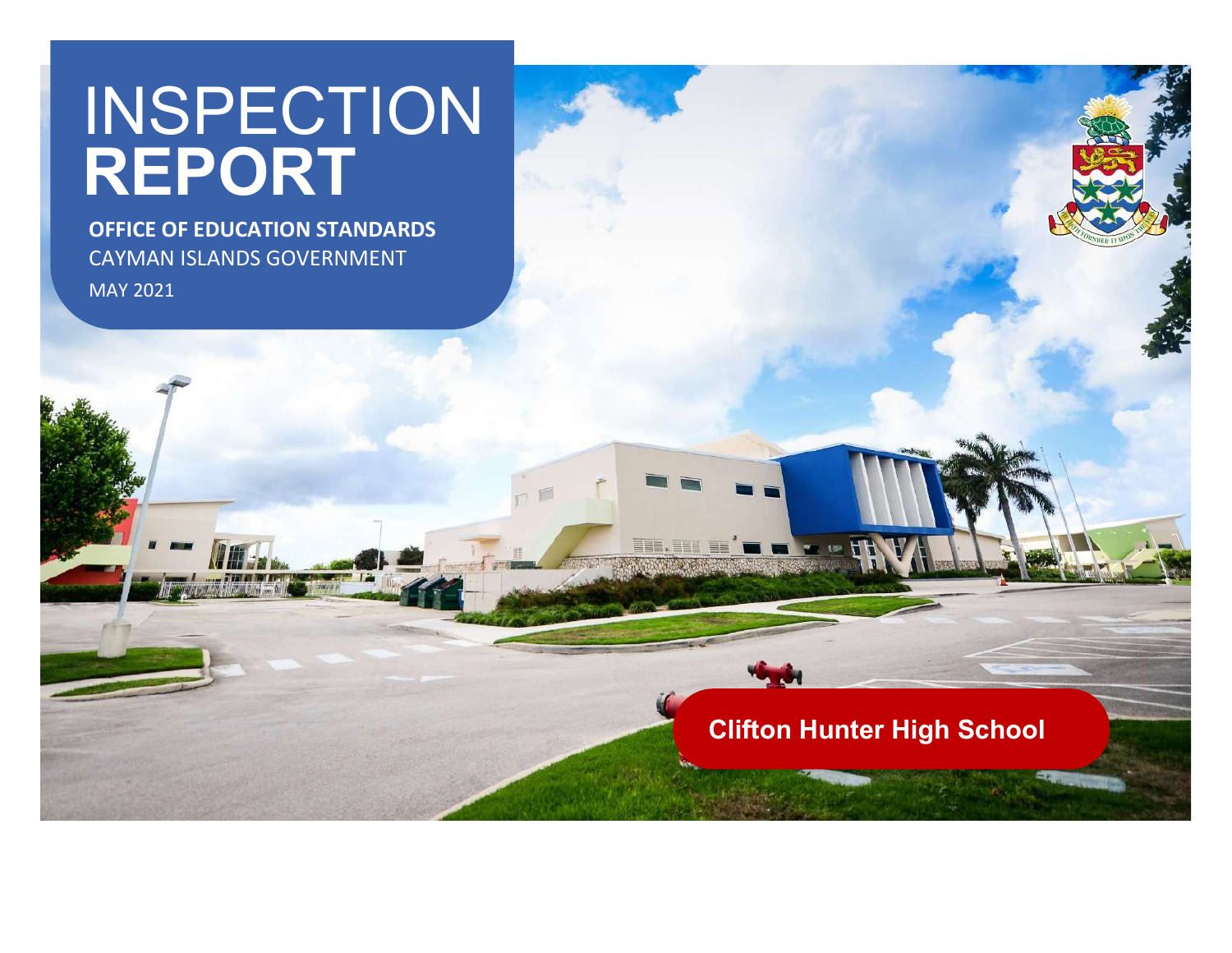# <u>Standard Construction Construction Construction Construction Construction Construction Construction Construction Construction Construction Construction Construction Construction Construction Construction Construction Cons</u> INSPECTION **INSPECTION** REPORT **A**

OFFICE OF EDUCATION STANDARDS CAYMAN ISLANDS GOVERNMENT MAY 2021

Clifton Hunter High School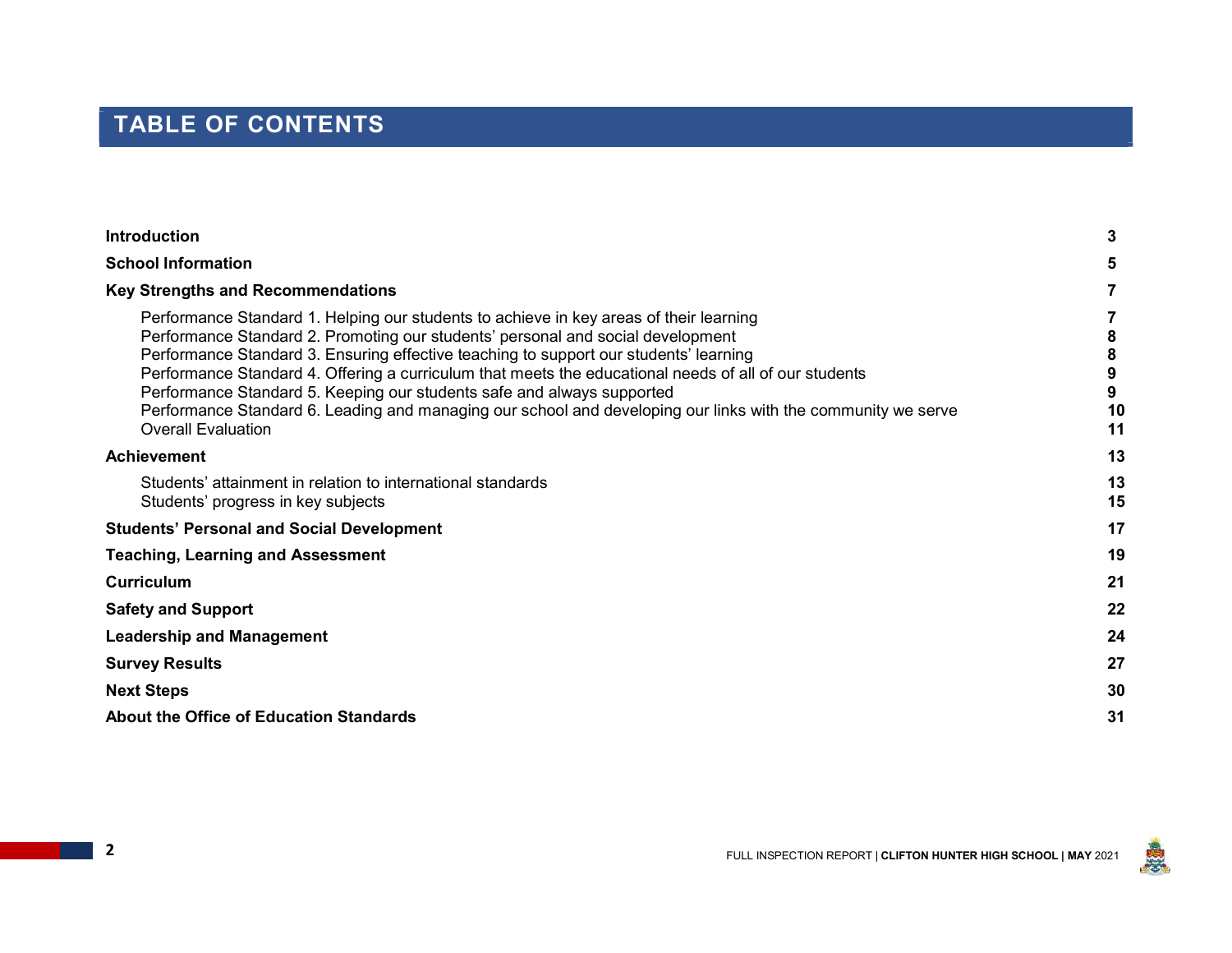# TABLE OF CONTENTS

| <b>Introduction</b>                                                                                                                                                                                                                                                                                                                                                                                                                                                                                                                                                                                | 3        |
|----------------------------------------------------------------------------------------------------------------------------------------------------------------------------------------------------------------------------------------------------------------------------------------------------------------------------------------------------------------------------------------------------------------------------------------------------------------------------------------------------------------------------------------------------------------------------------------------------|----------|
| <b>School Information</b>                                                                                                                                                                                                                                                                                                                                                                                                                                                                                                                                                                          |          |
| <b>Key Strengths and Recommendations</b>                                                                                                                                                                                                                                                                                                                                                                                                                                                                                                                                                           |          |
| Performance Standard 1. Helping our students to achieve in key areas of their learning<br>Performance Standard 2. Promoting our students' personal and social development<br>Performance Standard 3. Ensuring effective teaching to support our students' learning<br>Performance Standard 4. Offering a curriculum that meets the educational needs of all of our students<br>Performance Standard 5. Keeping our students safe and always supported<br>Performance Standard 6. Leading and managing our school and developing our links with the community we serve<br><b>Overall Evaluation</b> | 10<br>11 |
| <b>Achievement</b>                                                                                                                                                                                                                                                                                                                                                                                                                                                                                                                                                                                 | 13       |
| Students' attainment in relation to international standards<br>Students' progress in key subjects                                                                                                                                                                                                                                                                                                                                                                                                                                                                                                  | 13<br>15 |
| <b>Students' Personal and Social Development</b>                                                                                                                                                                                                                                                                                                                                                                                                                                                                                                                                                   | 17       |
| <b>Teaching, Learning and Assessment</b>                                                                                                                                                                                                                                                                                                                                                                                                                                                                                                                                                           | 19       |
| <b>Curriculum</b>                                                                                                                                                                                                                                                                                                                                                                                                                                                                                                                                                                                  | 21       |
| <b>Safety and Support</b>                                                                                                                                                                                                                                                                                                                                                                                                                                                                                                                                                                          | 22       |
| <b>Leadership and Management</b>                                                                                                                                                                                                                                                                                                                                                                                                                                                                                                                                                                   | 24       |
| <b>Survey Results</b>                                                                                                                                                                                                                                                                                                                                                                                                                                                                                                                                                                              | 27       |
| <b>Next Steps</b>                                                                                                                                                                                                                                                                                                                                                                                                                                                                                                                                                                                  | 30       |
| <b>About the Office of Education Standards</b>                                                                                                                                                                                                                                                                                                                                                                                                                                                                                                                                                     | 31       |
|                                                                                                                                                                                                                                                                                                                                                                                                                                                                                                                                                                                                    |          |

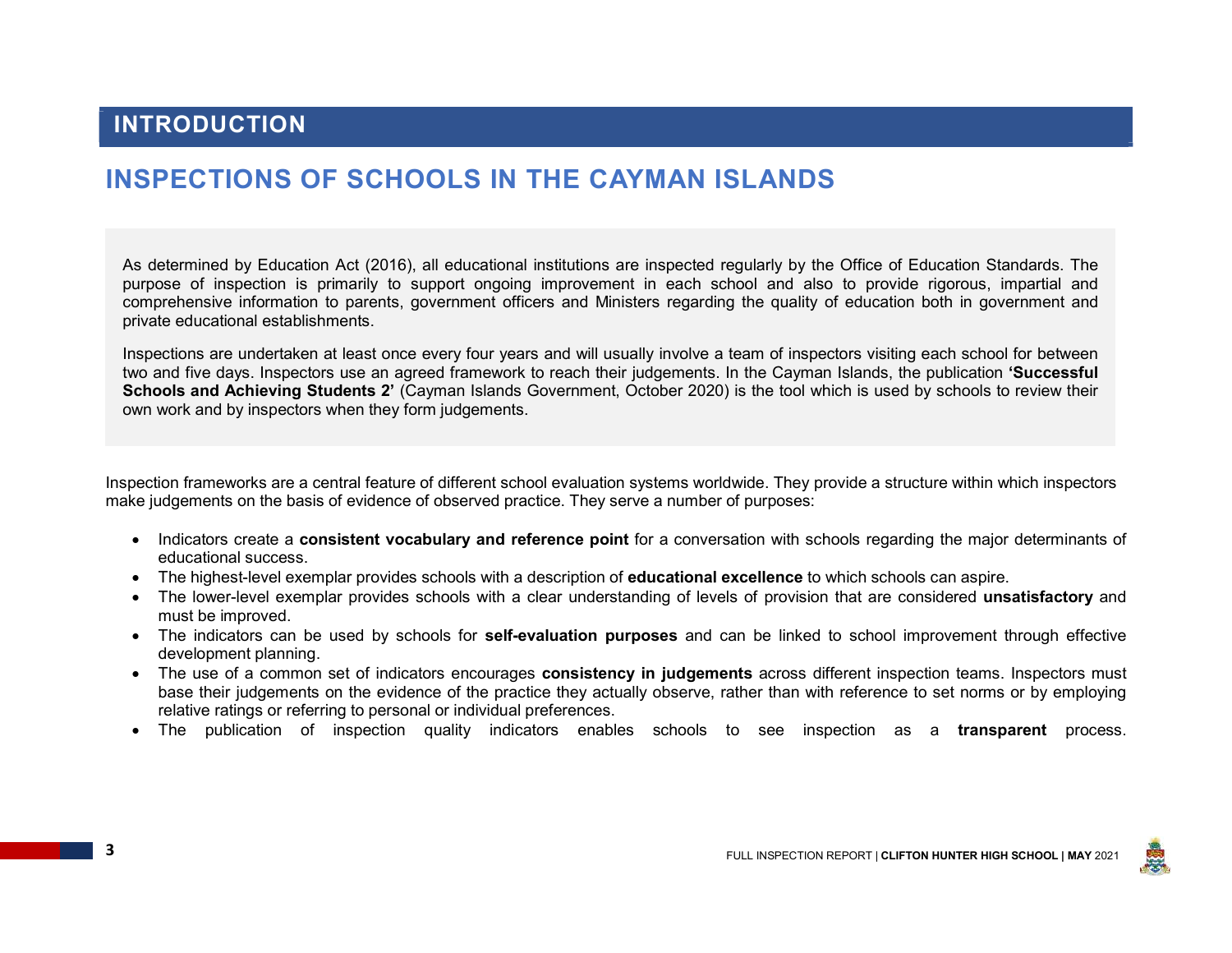### INTRODUCTION

# INSPECTIONS OF SCHOOLS IN THE CAYMAN ISLANDS

As determined by Education Act (2016), all educational institutions are inspected regularly by the Office of Education Standards. The purpose of inspection is primarily to support ongoing improvement in each school and also to provide rigorous, impartial and comprehensive information to parents, government officers and Ministers regarding the quality of education both in government and private educational establishments.

Inspections are undertaken at least once every four years and will usually involve a team of inspectors visiting each school for between two and five days. Inspectors use an agreed framework to reach their judgements. In the Cayman Islands, the publication 'Successful Schools and Achieving Students 2' (Cayman Islands Government, October 2020) is the tool which is used by schools to review their own work and by inspectors when they form judgements.

Inspection frameworks are a central feature of different school evaluation systems worldwide. They provide a structure within which inspectors make judgements on the basis of evidence of observed practice. They serve a number of purposes:

- Indicators create a consistent vocabulary and reference point for a conversation with schools regarding the major determinants of educational success.
- The highest-level exemplar provides schools with a description of **educational excellence** to which schools can aspire.
- The lower-level exemplar provides schools with a clear understanding of levels of provision that are considered unsatisfactory and must be improved.
- The indicators can be used by schools for **self-evaluation purposes** and can be linked to school improvement through effective development planning.
- The use of a common set of indicators encourages consistency in judgements across different inspection teams. Inspectors must base their judgements on the evidence of the practice they actually observe, rather than with reference to set norms or by employing relative ratings or referring to personal or individual preferences.
- The publication of inspection quality indicators enables schools to see inspection as a transparent process.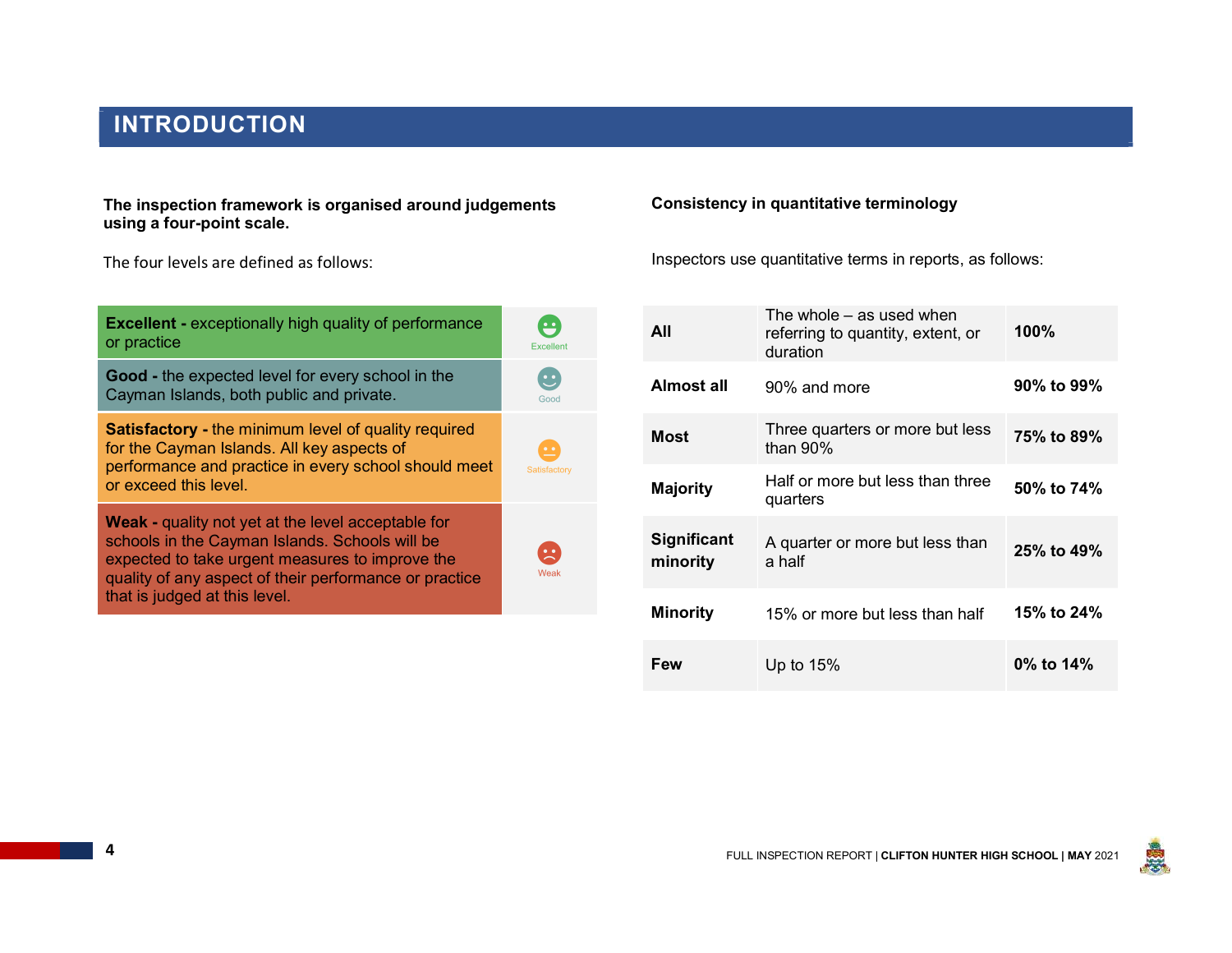# INTRODUCTION

The inspection framework is organised around judgements using a four-point scale.

The four levels are defined as follows:

| <b>Excellent - exceptionally high quality of performance</b><br>or practice                                                                                                                                              | $\ddot{•}$<br>Excellent                                            | All                            | Th<br>ref<br>du |
|--------------------------------------------------------------------------------------------------------------------------------------------------------------------------------------------------------------------------|--------------------------------------------------------------------|--------------------------------|-----------------|
| <b>Good</b> - the expected level for every school in the<br>Cayman Islands, both public and private.                                                                                                                     | $\mathbf{C}$<br>Good                                               | <b>Almost all</b>              | 90              |
| <b>Satisfactory - the minimum level of quality required</b><br>for the Cayman Islands. All key aspects of                                                                                                                | $\cdot$                                                            | <b>Most</b>                    | Th<br>tha       |
| performance and practice in every school should meet<br>or exceed this level.                                                                                                                                            | Satisfactory                                                       | <b>Majority</b>                | Ha<br>qu        |
| <b>Weak - quality not yet at the level acceptable for</b><br>schools in the Cayman Islands. Schools will be<br>expected to take urgent measures to improve the<br>quality of any aspect of their performance or practice | $\left[ \begin{array}{c} \blacksquare \end{array} \right]$<br>Weak | <b>Significant</b><br>minority | A٠<br>a ł       |
| that is judged at this level.                                                                                                                                                                                            |                                                                    | <b>Minority</b>                | 15              |

#### Consistency in quantitative terminology

Inspectors use quantitative terms in reports, as follows:

| $\ddot{•}$<br>Excellent              | All                            | The whole – as used when<br>referring to quantity, extent, or<br>duration | 100%       |
|--------------------------------------|--------------------------------|---------------------------------------------------------------------------|------------|
| $\ddot{\bm{\cdot}}$<br>Good          | <b>Almost all</b>              | 90% and more                                                              | 90% to 99% |
| $\bullet$ $\bullet$                  | <b>Most</b>                    | Three quarters or more but less<br>than 90%                               | 75% to 89% |
| Satisfactory                         | <b>Majority</b>                | Half or more but less than three<br>quarters                              | 50% to 74% |
| $\left( \frac{1}{2} \right)$<br>Weak | <b>Significant</b><br>minority | A quarter or more but less than<br>a half                                 | 25% to 49% |
|                                      | <b>Minority</b>                | 15% or more but less than half                                            | 15% to 24% |
|                                      | Few                            | Up to $15%$                                                               | 0% to 14%  |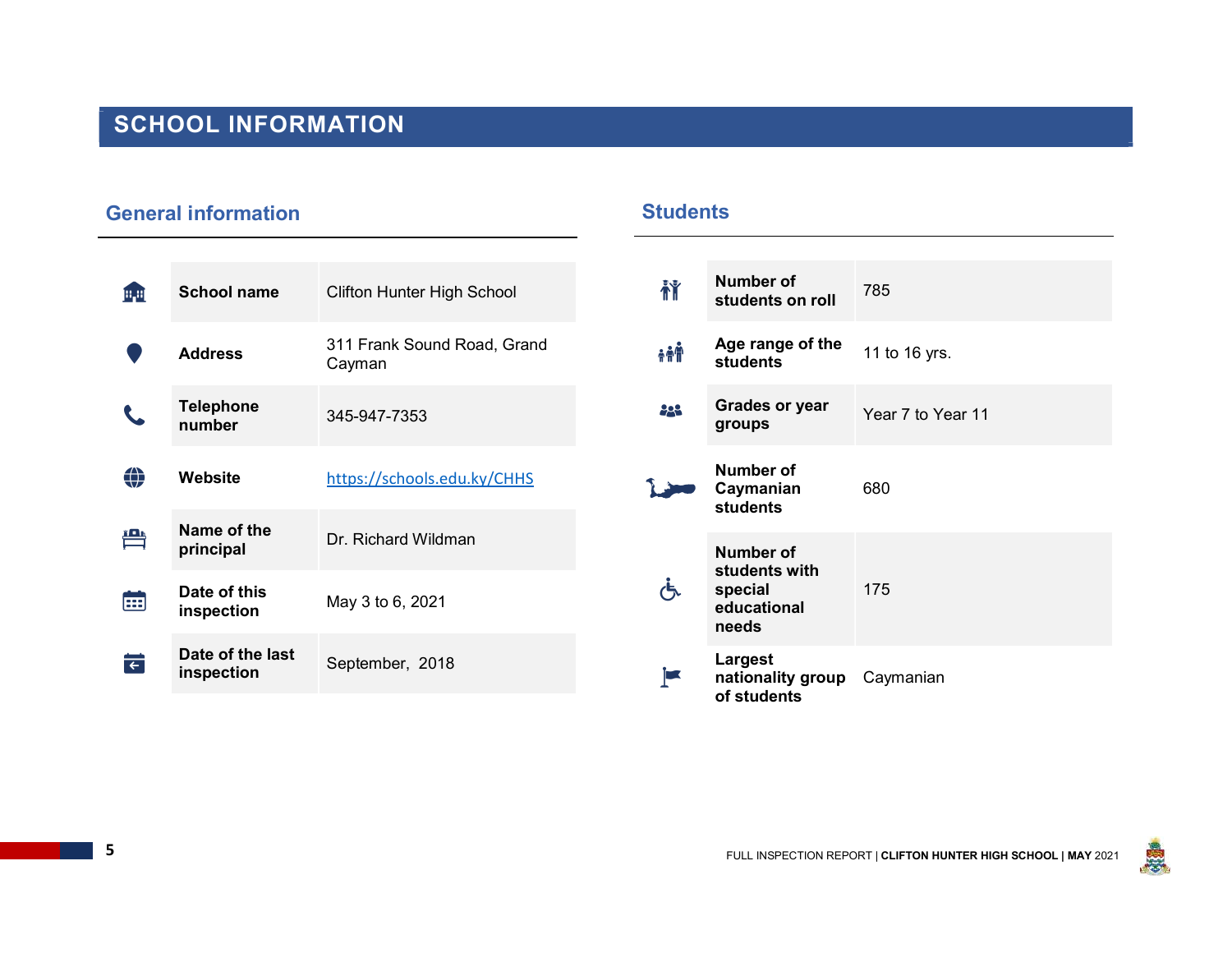# SCHOOL INFORMATION

### General information

| 疅 | <b>School name</b>             | <b>Clifton Hunter High School</b>     | 莆          | <b>Numb</b><br>stude              |
|---|--------------------------------|---------------------------------------|------------|-----------------------------------|
|   | <b>Address</b>                 | 311 Frank Sound Road, Grand<br>Cayman | <b>AAA</b> | Age ra<br>stude                   |
|   | <b>Telephone</b><br>number     | 345-947-7353                          | 223        | Grade<br>group                    |
| ⊕ | <b>Website</b>                 | https://schools.edu.ky/CHHS           |            | <b>Numb</b><br>Caym<br>stude      |
| 鲁 | Name of the<br>principal       | Dr. Richard Wildman                   |            | <b>Numb</b>                       |
| 田 | Date of this<br>inspection     | May 3 to 6, 2021                      | (ጜ         | stude<br>specia<br>educa<br>needs |
| Ħ | Date of the last<br>inspection | September, 2018                       |            | Large<br>nation<br>.              |

### **Students**

| 禇          | <b>Number of</b><br>students on roll                                 | 785               |
|------------|----------------------------------------------------------------------|-------------------|
| <b>AAN</b> | Age range of the<br><b>students</b>                                  | 11 to 16 yrs.     |
| 222        | <b>Grades or year</b><br>groups                                      | Year 7 to Year 11 |
|            | <b>Number of</b><br>Caymanian<br><b>students</b>                     | 680               |
|            | <b>Number of</b><br>students with<br>special<br>educational<br>needs | 175               |
|            | Largest<br>nationality group<br>of students                          | Caymanian         |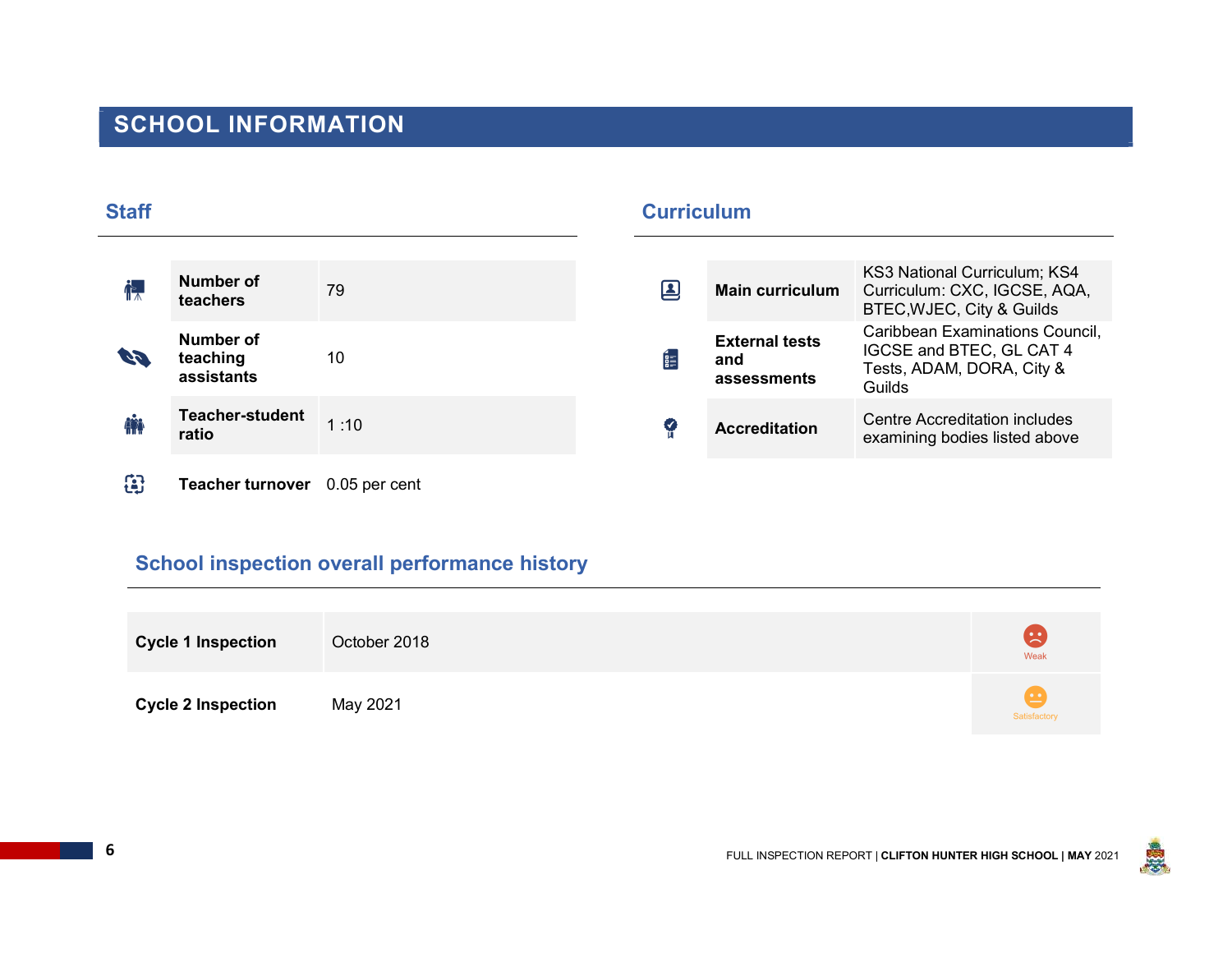# SCHOOL INFORMATION

| <b>Staff</b> |                                     |      | <b>Curriculum</b>  |                                             |                                                                                                    |
|--------------|-------------------------------------|------|--------------------|---------------------------------------------|----------------------------------------------------------------------------------------------------|
| ┢╇           | Number of<br>teachers               | 79   | $\boldsymbol{\Xi}$ | <b>Main curriculum</b>                      | KS3 National Curriculum; KS4<br>Curriculum: CXC, IGCSE, AQA,<br>BTEC, WJEC, City & Guilds          |
| 69           | Number of<br>teaching<br>assistants | 10   | Ē                  | <b>External tests</b><br>and<br>assessments | Caribbean Examinations Council,<br>IGCSE and BTEC, GL CAT 4<br>Tests, ADAM, DORA, City &<br>Guilds |
|              | <b>Teacher-student</b><br>ratio     | 1:10 | €                  | <b>Accreditation</b>                        | Centre Accreditation includes<br>examining bodies listed above                                     |
|              |                                     |      |                    |                                             |                                                                                                    |

Teacher turnover 0.05 per cent

### School inspection overall performance history

| <b>Cycle 1 Inspection</b> | October 2018 | $\left( \frac{1}{2} \right)$<br>Weak |
|---------------------------|--------------|--------------------------------------|
| <b>Cycle 2 Inspection</b> | May 2021     | Satisfactory                         |



 $\overline{\phantom{0}}$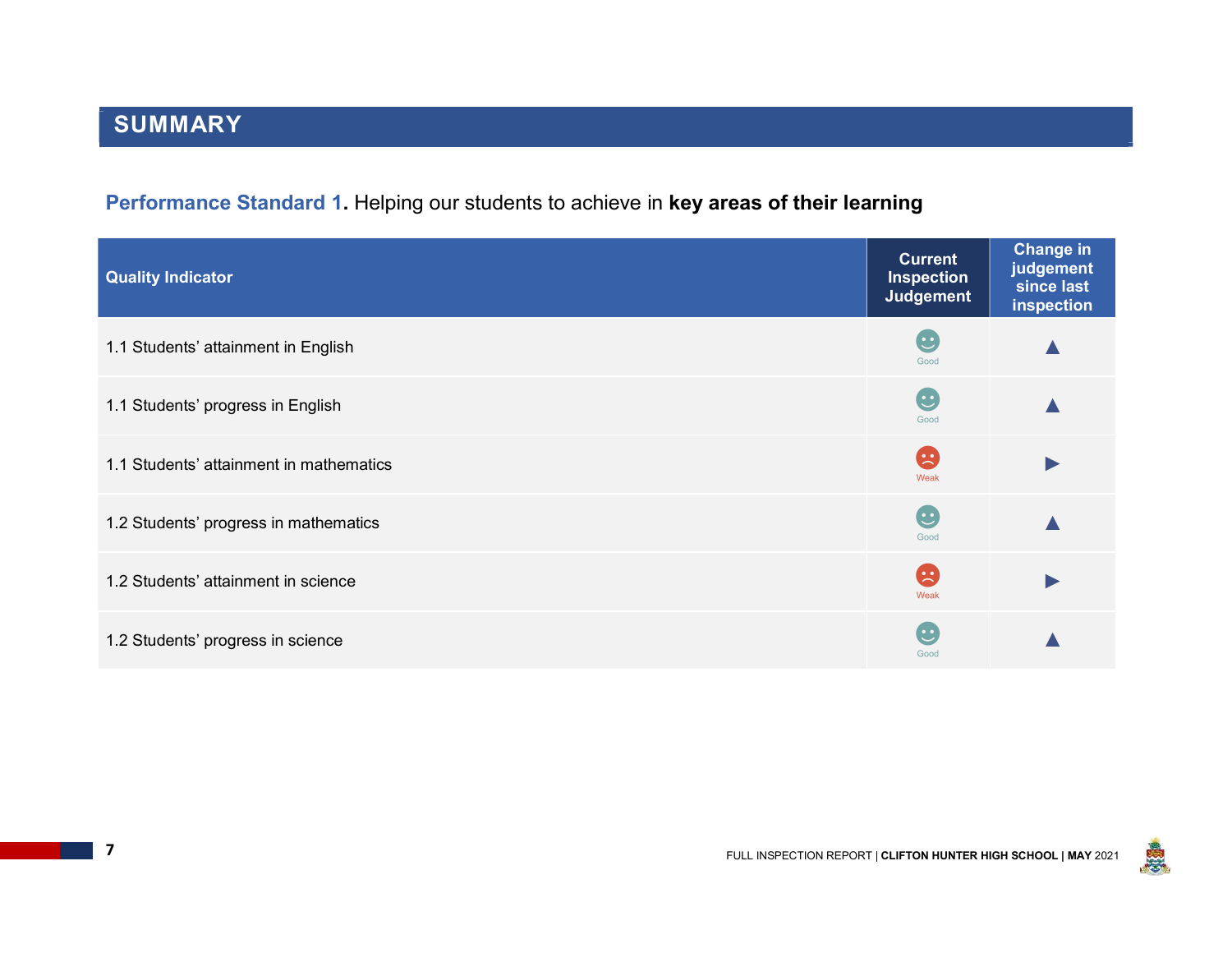# Performance Standard 1. Helping our students to achieve in key areas of their learning

| <b>Quality Indicator</b>                | <b>Current</b><br><b>Inspection</b><br><b>Judgement</b> | <b>Change in</b><br>judgement<br>since last<br>inspection |
|-----------------------------------------|---------------------------------------------------------|-----------------------------------------------------------|
| 1.1 Students' attainment in English     | $\mathbf{C}$<br>Good                                    |                                                           |
| 1.1 Students' progress in English       | G<br>Good                                               |                                                           |
| 1.1 Students' attainment in mathematics | B<br>Weak                                               |                                                           |
| 1.2 Students' progress in mathematics   | G<br>Good                                               |                                                           |
| 1.2 Students' attainment in science     | B<br>Weak                                               | $\blacktriangleright$                                     |
| 1.2 Students' progress in science       | C<br>Good                                               |                                                           |

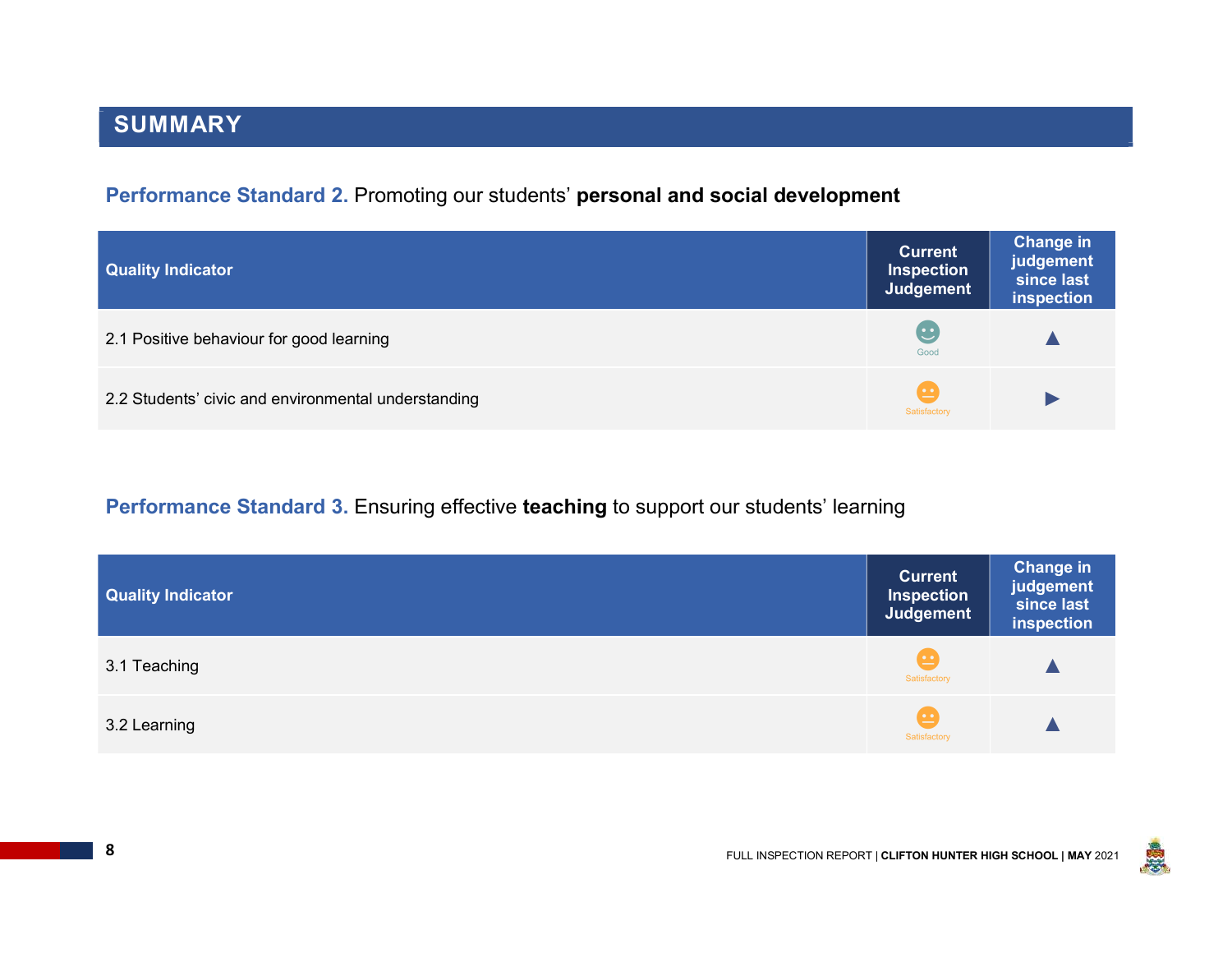# SUMMARY

### Performance Standard 2. Promoting our students' personal and social development

| <b>Quality Indicator</b>                            | <b>Current</b><br><b>Inspection</b><br>Judgement | <b>Change in</b><br>judgement<br>since last<br>inspection |
|-----------------------------------------------------|--------------------------------------------------|-----------------------------------------------------------|
| 2.1 Positive behaviour for good learning            | $\overline{\mathbf{c}}$<br>Good                  |                                                           |
| 2.2 Students' civic and environmental understanding | $\cdot$<br>Satisfactory                          |                                                           |

### Performance Standard 3. Ensuring effective teaching to support our students' learning

| <b>Quality Indicator</b> | <b>Current</b><br><b>Inspection</b><br>Judgement | <b>Change in</b><br>judgement<br>since last<br>inspection |
|--------------------------|--------------------------------------------------|-----------------------------------------------------------|
| 3.1 Teaching             | $\cdot$ $\cdot$<br>Satisfactory                  |                                                           |
| 3.2 Learning             | <u>. •</u><br>Satisfactory                       |                                                           |

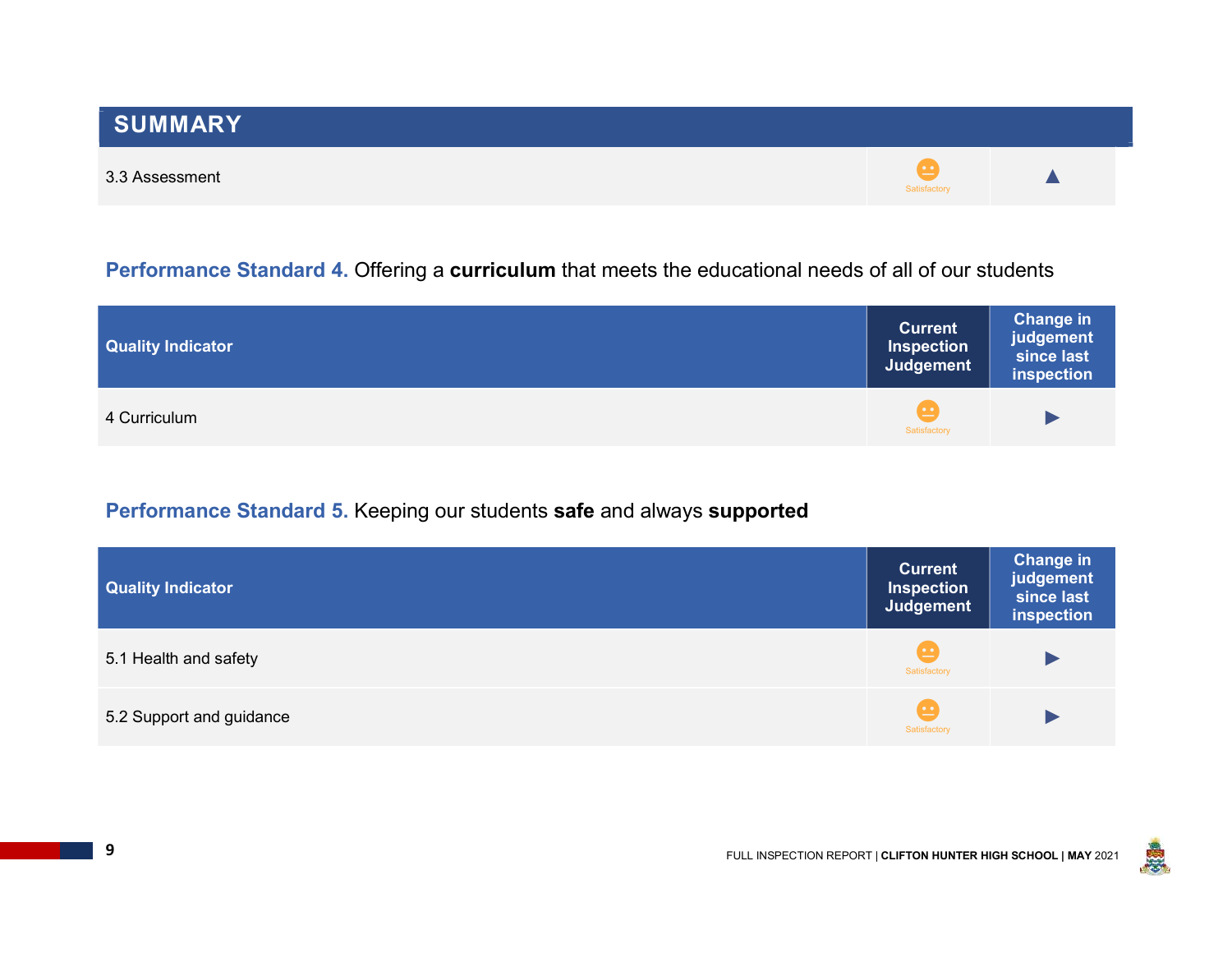### Performance Standard 4. Offering a curriculum that meets the educational needs of all of our students

| <b>Quality Indicator</b> | <b>Current</b><br><b>Inspection</b><br>Judgement | <b>Change in</b><br>judgement<br>since last<br>inspection |
|--------------------------|--------------------------------------------------|-----------------------------------------------------------|
| 4 Curriculum             | Satisfactory                                     |                                                           |

### Performance Standard 5. Keeping our students safe and always supported

| <b>Quality Indicator</b> | <b>Current</b><br><b>Inspection</b><br>Judgement | <b>Change in</b><br>judgement<br>since last<br>inspection |
|--------------------------|--------------------------------------------------|-----------------------------------------------------------|
| 5.1 Health and safety    | <u>( • • </u><br>Satisfactory                    |                                                           |
| 5.2 Support and guidance | $\sim$<br>Satisfactory                           |                                                           |

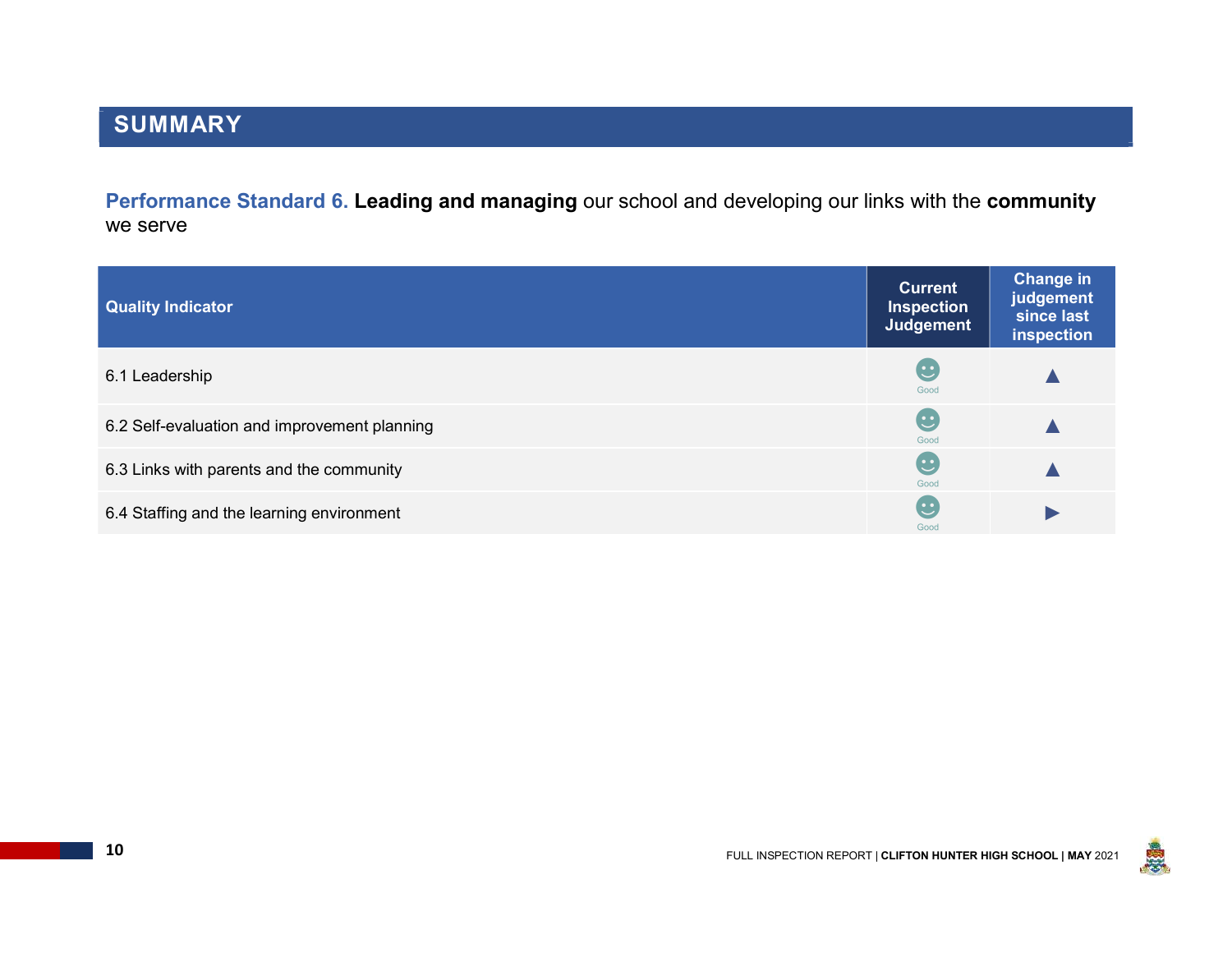Performance Standard 6. Leading and managing our school and developing our links with the community we serve

| <b>Quality Indicator</b>                     | <b>Current</b><br><b>Inspection</b><br>Judgement             | <b>Change in</b><br>judgement<br>since last<br>inspection |
|----------------------------------------------|--------------------------------------------------------------|-----------------------------------------------------------|
| 6.1 Leadership                               | $\ddot{\bm{\omega}}$<br>Good                                 |                                                           |
| 6.2 Self-evaluation and improvement planning | $\mathbf{\ddot{\cdot}}$<br>Good                              |                                                           |
| 6.3 Links with parents and the community     | $\mathbf{\mathbf{\mathbf{\mathbf{\mathbf{\cdot}}}}}$<br>Good |                                                           |
| 6.4 Staffing and the learning environment    | $\mathbf{C}$<br>Good                                         |                                                           |

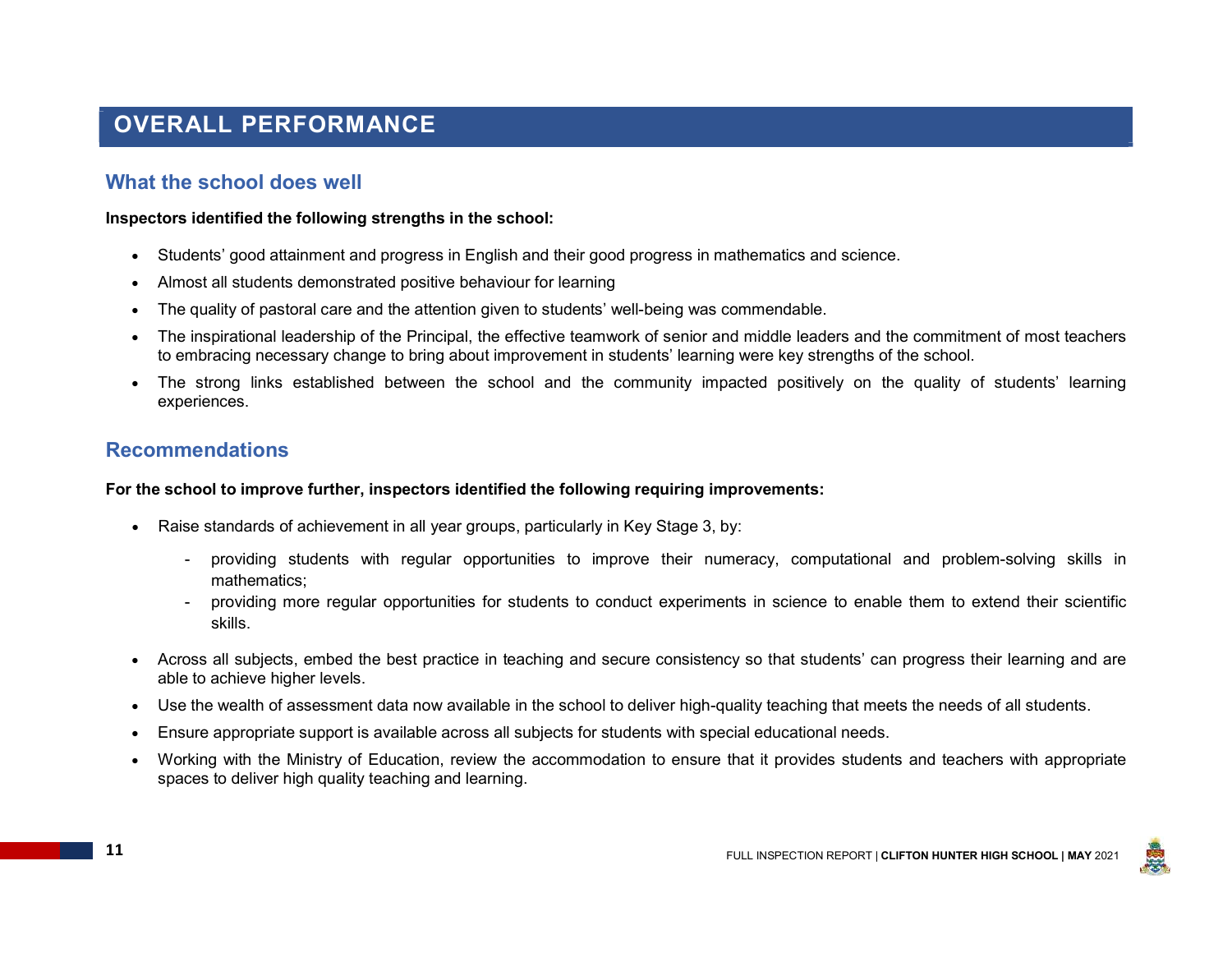# OVERALL PERFORMANCE

### What the school does well

Inspectors identified the following strengths in the school:

- Students' good attainment and progress in English and their good progress in mathematics and science.
- Almost all students demonstrated positive behaviour for learning
- The quality of pastoral care and the attention given to students' well-being was commendable.
- The inspirational leadership of the Principal, the effective teamwork of senior and middle leaders and the commitment of most teachers to embracing necessary change to bring about improvement in students' learning were key strengths of the school.
- The strong links established between the school and the community impacted positively on the quality of students' learning experiences.

### Recommendations

#### For the school to improve further, inspectors identified the following requiring improvements:

- Raise standards of achievement in all year groups, particularly in Key Stage 3, by:
	- providing students with regular opportunities to improve their numeracy, computational and problem-solving skills in mathematics;
	- providing more regular opportunities for students to conduct experiments in science to enable them to extend their scientific skills.
- Across all subjects, embed the best practice in teaching and secure consistency so that students' can progress their learning and are able to achieve higher levels.
- Use the wealth of assessment data now available in the school to deliver high-quality teaching that meets the needs of all students.
- Ensure appropriate support is available across all subjects for students with special educational needs.
- Working with the Ministry of Education, review the accommodation to ensure that it provides students and teachers with appropriate spaces to deliver high quality teaching and learning.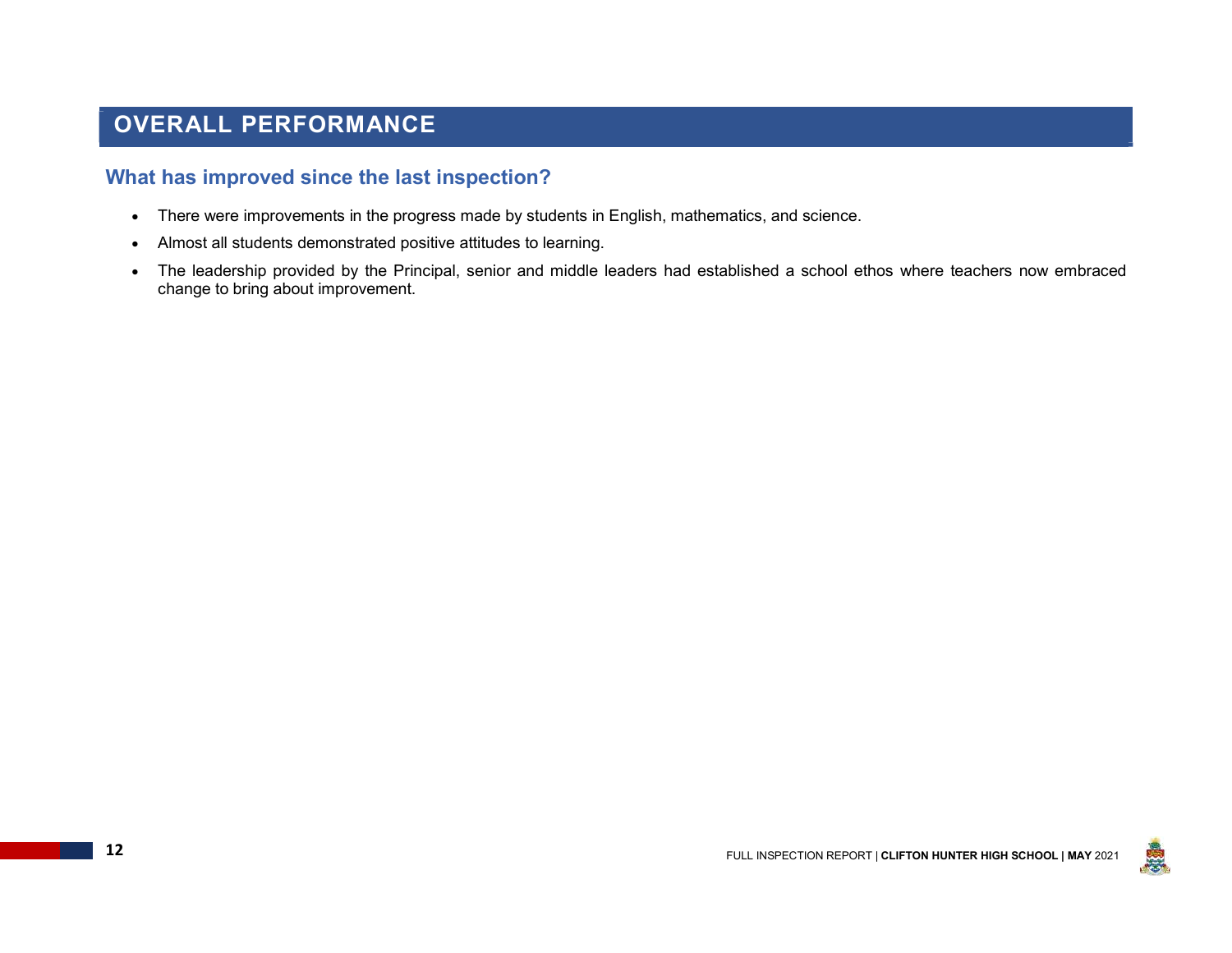# OVERALL PERFORMANCE

### What has improved since the last inspection?

- There were improvements in the progress made by students in English, mathematics, and science.
- Almost all students demonstrated positive attitudes to learning.
- The leadership provided by the Principal, senior and middle leaders had established a school ethos where teachers now embraced change to bring about improvement.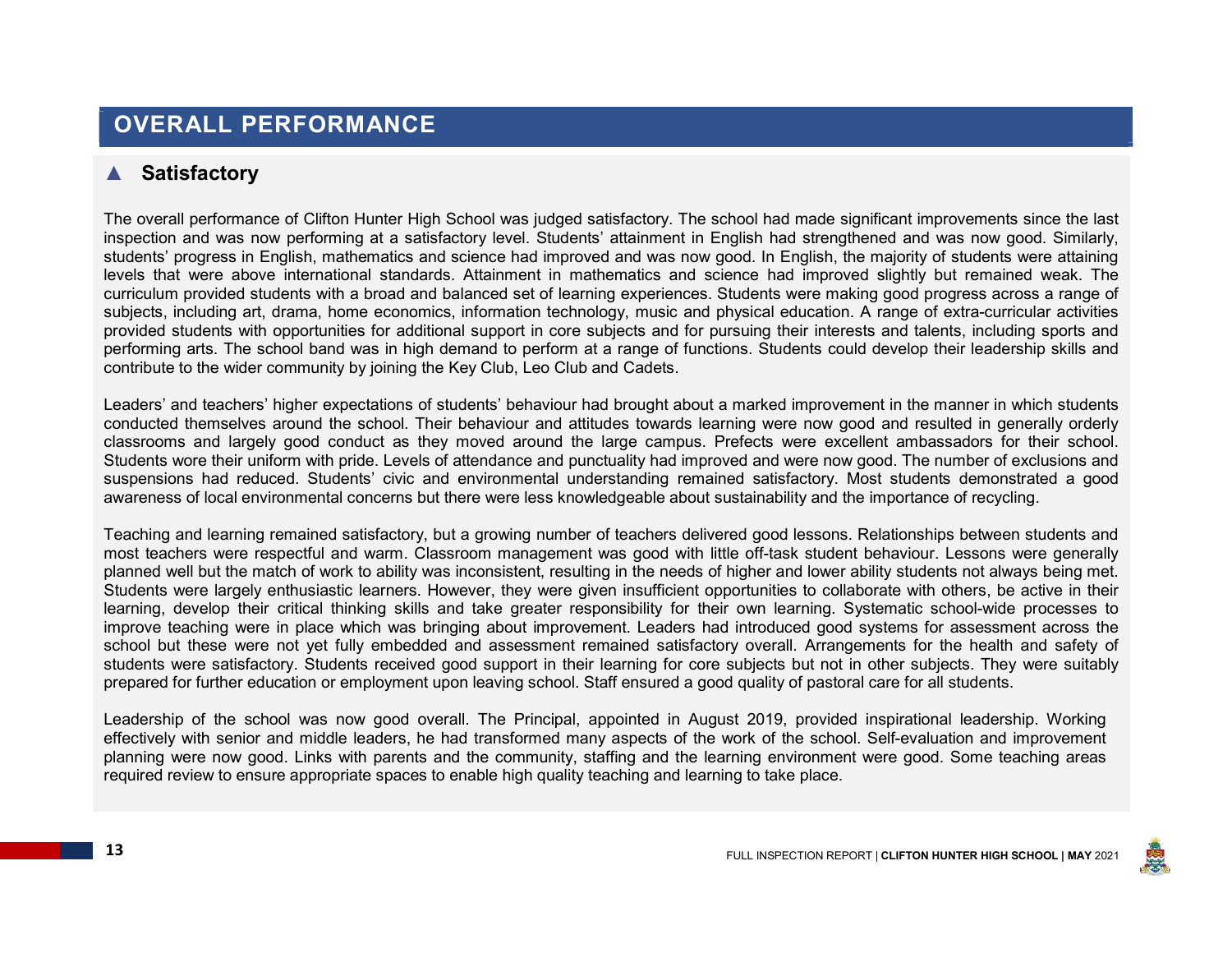# OVERALL PERFORMANCE

### ▲ Satisfactory

The overall performance of Clifton Hunter High School was judged satisfactory. The school had made significant improvements since the last inspection and was now performing at a satisfactory level. Students' attainment in English had strengthened and was now good. Similarly, students' progress in English, mathematics and science had improved and was now good. In English, the majority of students were attaining levels that were above international standards. Attainment in mathematics and science had improved slightly but remained weak. The curriculum provided students with a broad and balanced set of learning experiences. Students were making good progress across a range of subjects, including art, drama, home economics, information technology, music and physical education. A range of extra-curricular activities provided students with opportunities for additional support in core subjects and for pursuing their interests and talents, including sports and performing arts. The school band was in high demand to perform at a range of functions. Students could develop their leadership skills and contribute to the wider community by joining the Key Club, Leo Club and Cadets.

Leaders' and teachers' higher expectations of students' behaviour had brought about a marked improvement in the manner in which students conducted themselves around the school. Their behaviour and attitudes towards learning were now good and resulted in generally orderly classrooms and largely good conduct as they moved around the large campus. Prefects were excellent ambassadors for their school. Students wore their uniform with pride. Levels of attendance and punctuality had improved and were now good. The number of exclusions and suspensions had reduced. Students' civic and environmental understanding remained satisfactory. Most students demonstrated a good awareness of local environmental concerns but there were less knowledgeable about sustainability and the importance of recycling.

Teaching and learning remained satisfactory, but a growing number of teachers delivered good lessons. Relationships between students and most teachers were respectful and warm. Classroom management was good with little off-task student behaviour. Lessons were generally planned well but the match of work to ability was inconsistent, resulting in the needs of higher and lower ability students not always being met. Students were largely enthusiastic learners. However, they were given insufficient opportunities to collaborate with others, be active in their learning, develop their critical thinking skills and take greater responsibility for their own learning. Systematic school-wide processes to improve teaching were in place which was bringing about improvement. Leaders had introduced good systems for assessment across the school but these were not yet fully embedded and assessment remained satisfactory overall. Arrangements for the health and safety of students were satisfactory. Students received good support in their learning for core subjects but not in other subjects. They were suitably prepared for further education or employment upon leaving school. Staff ensured a good quality of pastoral care for all students.

Leadership of the school was now good overall. The Principal, appointed in August 2019, provided inspirational leadership. Working effectively with senior and middle leaders, he had transformed many aspects of the work of the school. Self-evaluation and improvement planning were now good. Links with parents and the community, staffing and the learning environment were good. Some teaching areas required review to ensure appropriate spaces to enable high quality teaching and learning to take place.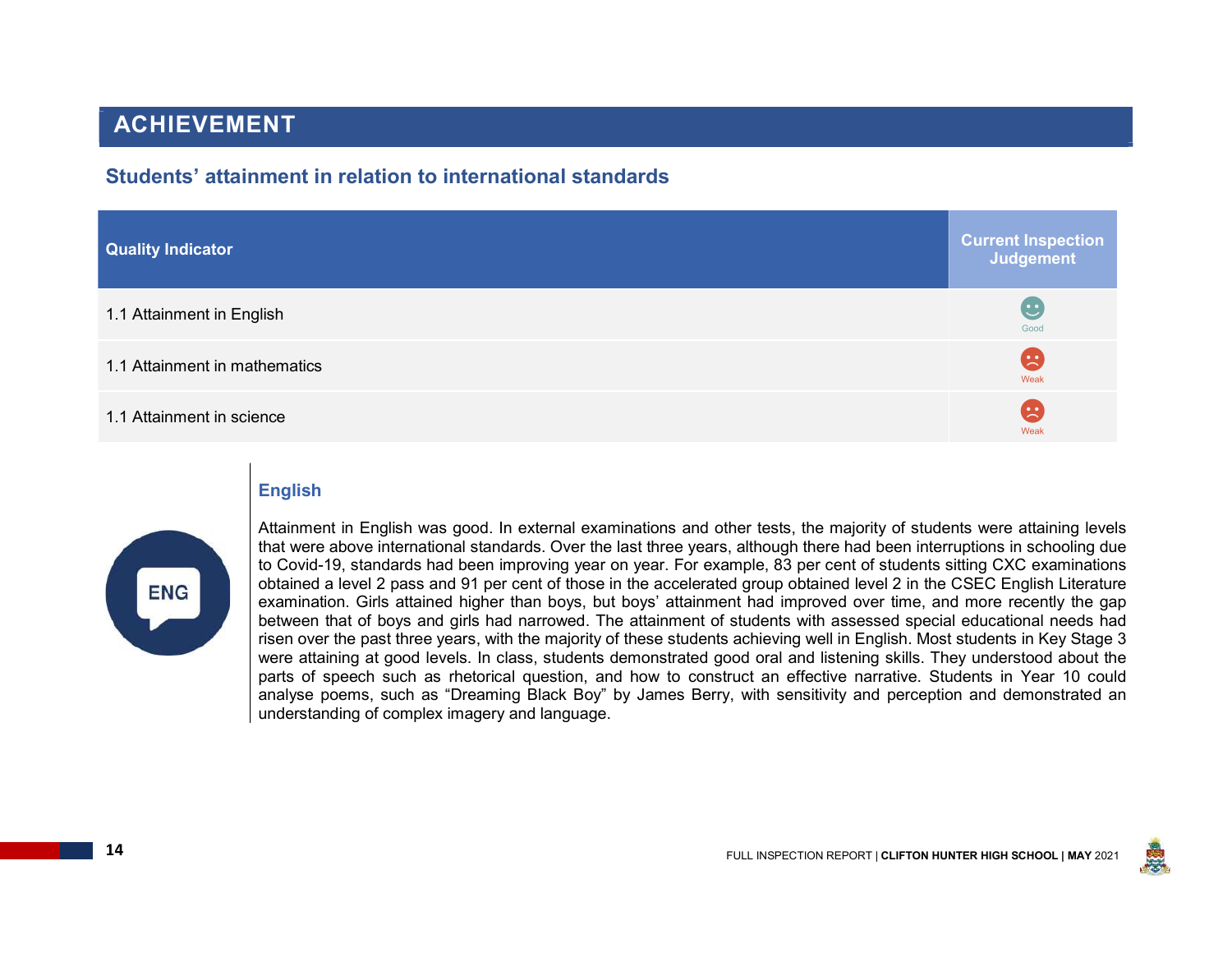### Students' attainment in relation to international standards

| <b>Quality Indicator</b>      | <b>Current Inspection</b><br>Judgement |
|-------------------------------|----------------------------------------|
| 1.1 Attainment in English     | $\mathbf{C}$<br>Good                   |
| 1.1 Attainment in mathematics | Œ<br>Weak                              |
| 1.1 Attainment in science     | $\bullet$<br>Weak                      |

### English



Attainment in English was good. In external examinations and other tests, the majority of students were attaining levels that were above international standards. Over the last three years, although there had been interruptions in schooling due to Covid-19, standards had been improving year on year. For example, 83 per cent of students sitting CXC examinations obtained a level 2 pass and 91 per cent of those in the accelerated group obtained level 2 in the CSEC English Literature examination. Girls attained higher than boys, but boys' attainment had improved over time, and more recently the gap between that of boys and girls had narrowed. The attainment of students with assessed special educational needs had risen over the past three years, with the majority of these students achieving well in English. Most students in Key Stage 3 were attaining at good levels. In class, students demonstrated good oral and listening skills. They understood about the parts of speech such as rhetorical question, and how to construct an effective narrative. Students in Year 10 could analyse poems, such as "Dreaming Black Boy" by James Berry, with sensitivity and perception and demonstrated an understanding of complex imagery and language.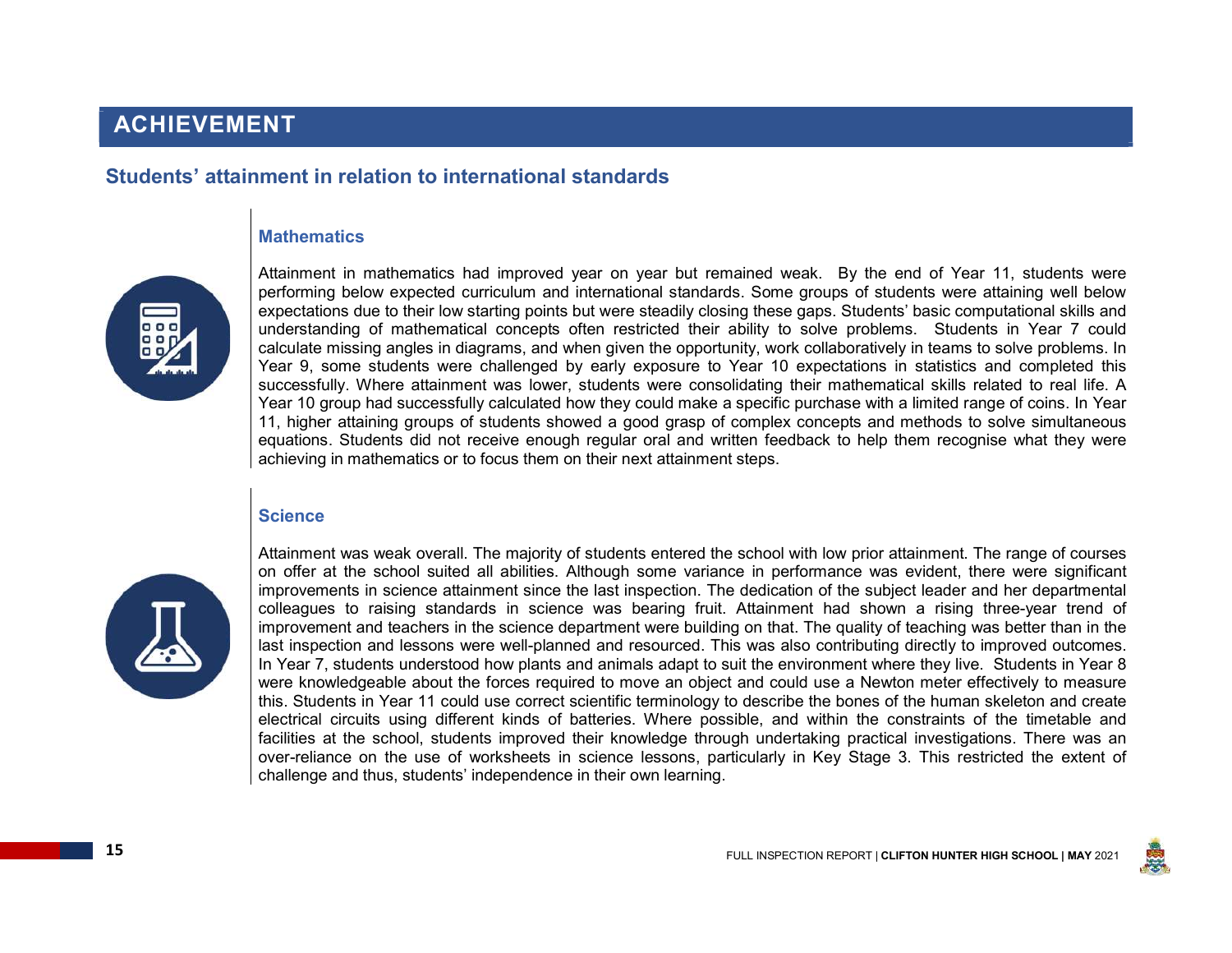### Students' attainment in relation to international standards

#### **Mathematics**



Attainment in mathematics had improved year on year but remained weak. By the end of Year 11, students were performing below expected curriculum and international standards. Some groups of students were attaining well below expectations due to their low starting points but were steadily closing these gaps. Students' basic computational skills and understanding of mathematical concepts often restricted their ability to solve problems. Students in Year 7 could calculate missing angles in diagrams, and when given the opportunity, work collaboratively in teams to solve problems. In Year 9, some students were challenged by early exposure to Year 10 expectations in statistics and completed this successfully. Where attainment was lower, students were consolidating their mathematical skills related to real life. A Year 10 group had successfully calculated how they could make a specific purchase with a limited range of coins. In Year 11, higher attaining groups of students showed a good grasp of complex concepts and methods to solve simultaneous equations. Students did not receive enough regular oral and written feedback to help them recognise what they were achieving in mathematics or to focus them on their next attainment steps.

#### **Science**



Attainment was weak overall. The majority of students entered the school with low prior attainment. The range of courses on offer at the school suited all abilities. Although some variance in performance was evident, there were significant improvements in science attainment since the last inspection. The dedication of the subject leader and her departmental colleagues to raising standards in science was bearing fruit. Attainment had shown a rising three-year trend of improvement and teachers in the science department were building on that. The quality of teaching was better than in the last inspection and lessons were well-planned and resourced. This was also contributing directly to improved outcomes. In Year 7, students understood how plants and animals adapt to suit the environment where they live. Students in Year 8 were knowledgeable about the forces required to move an object and could use a Newton meter effectively to measure this. Students in Year 11 could use correct scientific terminology to describe the bones of the human skeleton and create electrical circuits using different kinds of batteries. Where possible, and within the constraints of the timetable and facilities at the school, students improved their knowledge through undertaking practical investigations. There was an over-reliance on the use of worksheets in science lessons, particularly in Key Stage 3. This restricted the extent of challenge and thus, students' independence in their own learning.

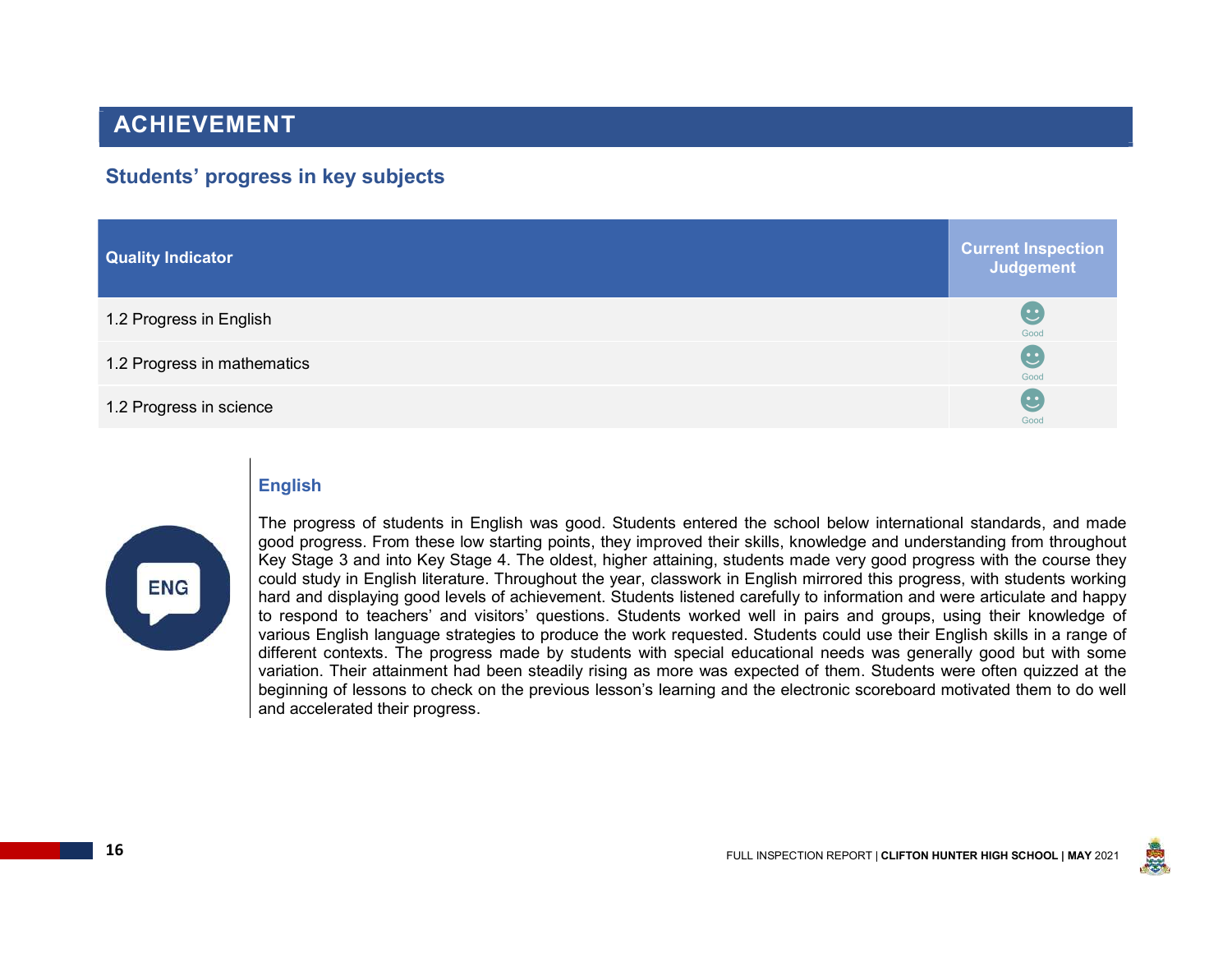### Students' progress in key subjects

| Quality Indicator           | <b>Current Inspection</b><br>Judgement |
|-----------------------------|----------------------------------------|
| 1.2 Progress in English     | $\mathbf C$<br>Good                    |
| 1.2 Progress in mathematics | $\overline{\mathbf{c}}$<br>Good        |
| 1.2 Progress in science     | $\mathbf C$<br>Good                    |

#### English



The progress of students in English was good. Students entered the school below international standards, and made good progress. From these low starting points, they improved their skills, knowledge and understanding from throughout Key Stage 3 and into Key Stage 4. The oldest, higher attaining, students made very good progress with the course they could study in English literature. Throughout the year, classwork in English mirrored this progress, with students working hard and displaying good levels of achievement. Students listened carefully to information and were articulate and happy to respond to teachers' and visitors' questions. Students worked well in pairs and groups, using their knowledge of various English language strategies to produce the work requested. Students could use their English skills in a range of different contexts. The progress made by students with special educational needs was generally good but with some variation. Their attainment had been steadily rising as more was expected of them. Students were often quizzed at the beginning of lessons to check on the previous lesson's learning and the electronic scoreboard motivated them to do well and accelerated their progress.

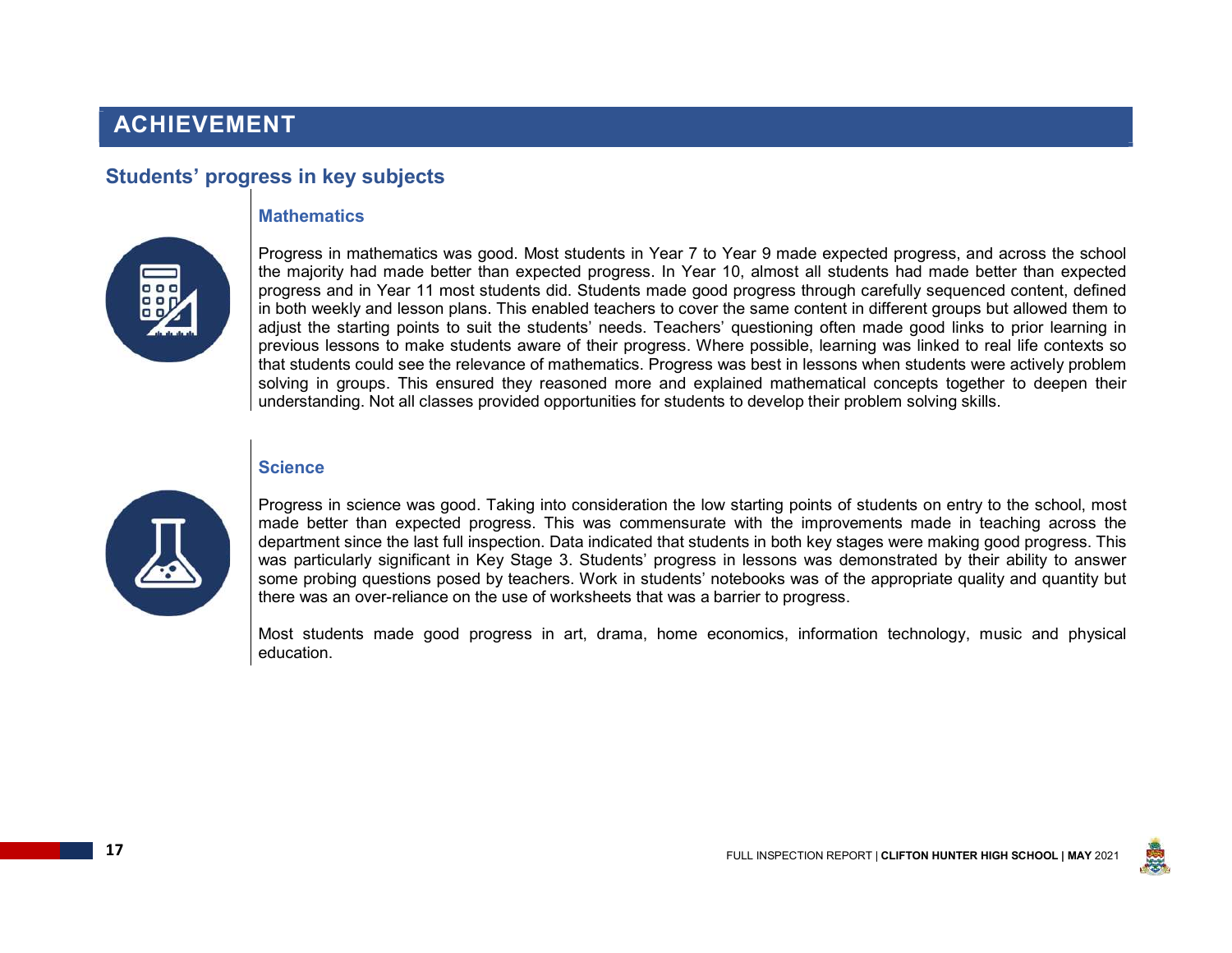### Students' progress in key subjects

#### **Mathematics**



Progress in mathematics was good. Most students in Year 7 to Year 9 made expected progress, and across the school the majority had made better than expected progress. In Year 10, almost all students had made better than expected progress and in Year 11 most students did. Students made good progress through carefully sequenced content, defined in both weekly and lesson plans. This enabled teachers to cover the same content in different groups but allowed them to adjust the starting points to suit the students' needs. Teachers' questioning often made good links to prior learning in previous lessons to make students aware of their progress. Where possible, learning was linked to real life contexts so that students could see the relevance of mathematics. Progress was best in lessons when students were actively problem solving in groups. This ensured they reasoned more and explained mathematical concepts together to deepen their understanding. Not all classes provided opportunities for students to develop their problem solving skills.

#### **Science**



Progress in science was good. Taking into consideration the low starting points of students on entry to the school, most made better than expected progress. This was commensurate with the improvements made in teaching across the department since the last full inspection. Data indicated that students in both key stages were making good progress. This was particularly significant in Key Stage 3. Students' progress in lessons was demonstrated by their ability to answer some probing questions posed by teachers. Work in students' notebooks was of the appropriate quality and quantity but there was an over-reliance on the use of worksheets that was a barrier to progress.

Most students made good progress in art, drama, home economics, information technology, music and physical education.

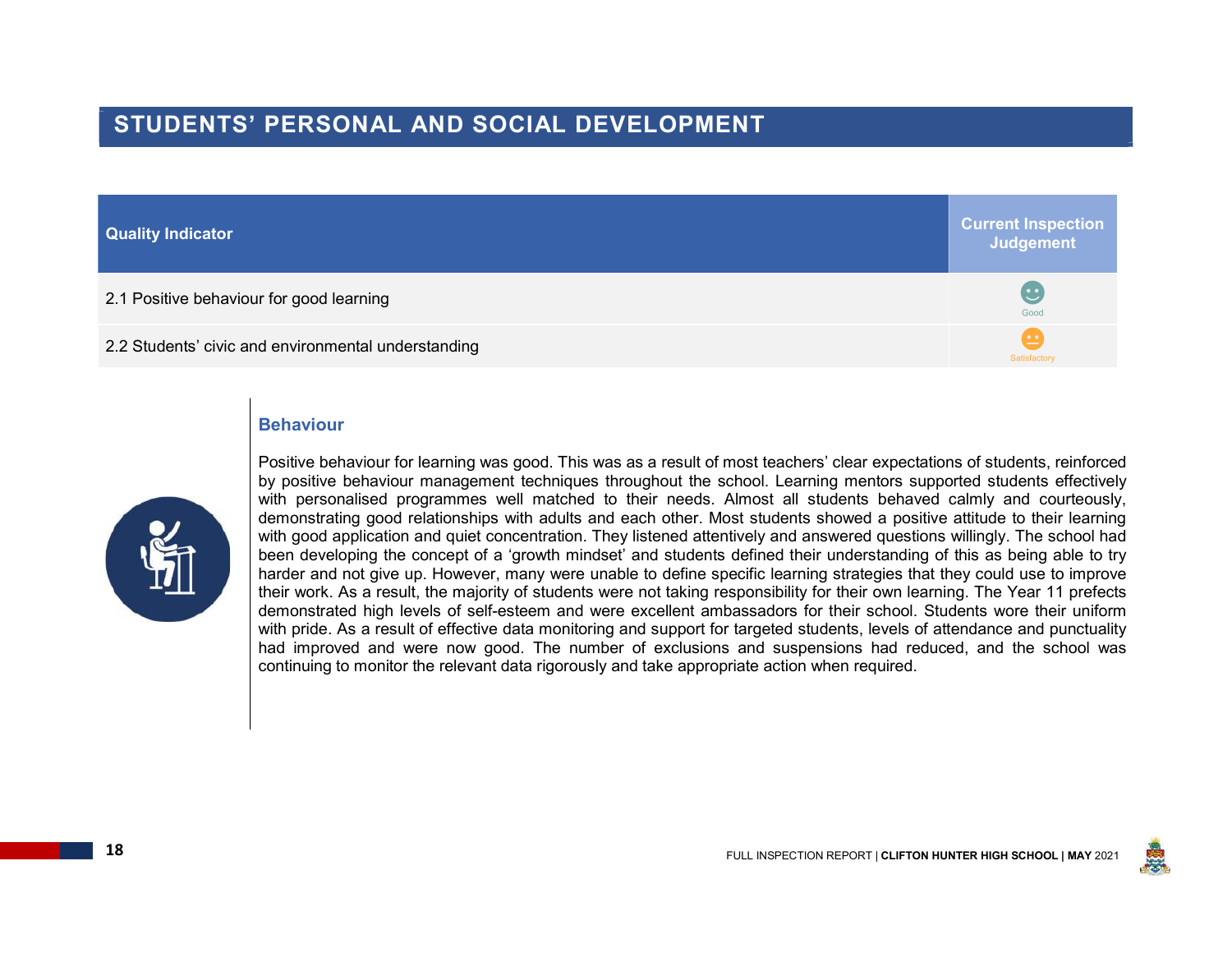### STUDENTS' PERSONAL AND SOCIAL DEVELOPMENT

| <b>Quality Indicator</b>                            | <b>Current Inspection</b><br>Judgement |
|-----------------------------------------------------|----------------------------------------|
| 2.1 Positive behaviour for good learning            | $\mathbb{C}$<br>Good                   |
| 2.2 Students' civic and environmental understanding | Satisfactory                           |

#### Behaviour



Positive behaviour for learning was good. This was as a result of most teachers' clear expectations of students, reinforced by positive behaviour management techniques throughout the school. Learning mentors supported students effectively with personalised programmes well matched to their needs. Almost all students behaved calmly and courteously, demonstrating good relationships with adults and each other. Most students showed a positive attitude to their learning with good application and quiet concentration. They listened attentively and answered questions willingly. The school had been developing the concept of a 'growth mindset' and students defined their understanding of this as being able to try harder and not give up. However, many were unable to define specific learning strategies that they could use to improve their work. As a result, the majority of students were not taking responsibility for their own learning. The Year 11 prefects demonstrated high levels of self-esteem and were excellent ambassadors for their school. Students wore their uniform with pride. As a result of effective data monitoring and support for targeted students, levels of attendance and punctuality had improved and were now good. The number of exclusions and suspensions had reduced, and the school was continuing to monitor the relevant data rigorously and take appropriate action when required.

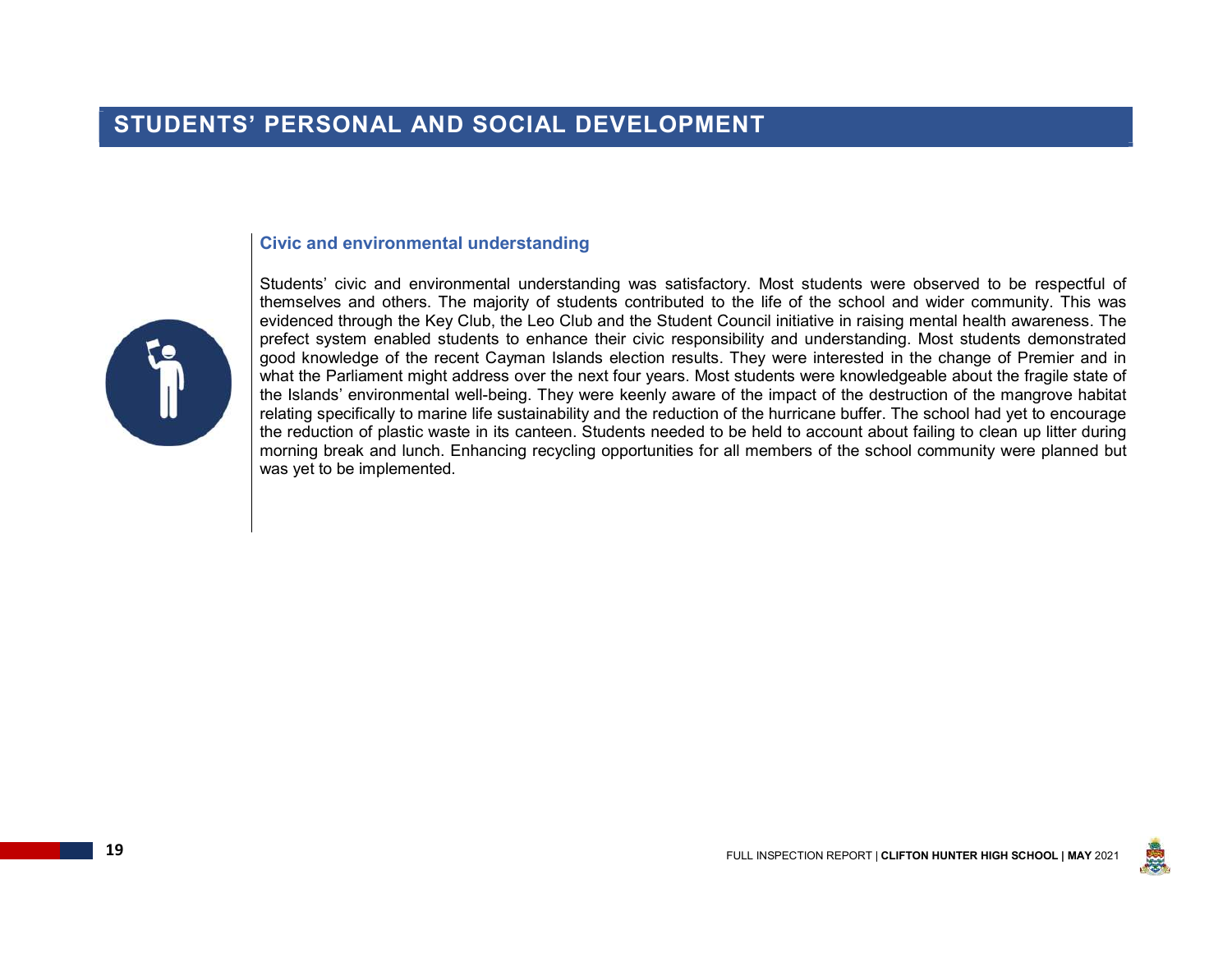#### Civic and environmental understanding



Students' civic and environmental understanding was satisfactory. Most students were observed to be respectful of themselves and others. The majority of students contributed to the life of the school and wider community. This was evidenced through the Key Club, the Leo Club and the Student Council initiative in raising mental health awareness. The prefect system enabled students to enhance their civic responsibility and understanding. Most students demonstrated good knowledge of the recent Cayman Islands election results. They were interested in the change of Premier and in what the Parliament might address over the next four years. Most students were knowledgeable about the fragile state of the Islands' environmental well-being. They were keenly aware of the impact of the destruction of the mangrove habitat relating specifically to marine life sustainability and the reduction of the hurricane buffer. The school had yet to encourage the reduction of plastic waste in its canteen. Students needed to be held to account about failing to clean up litter during morning break and lunch. Enhancing recycling opportunities for all members of the school community were planned but was yet to be implemented.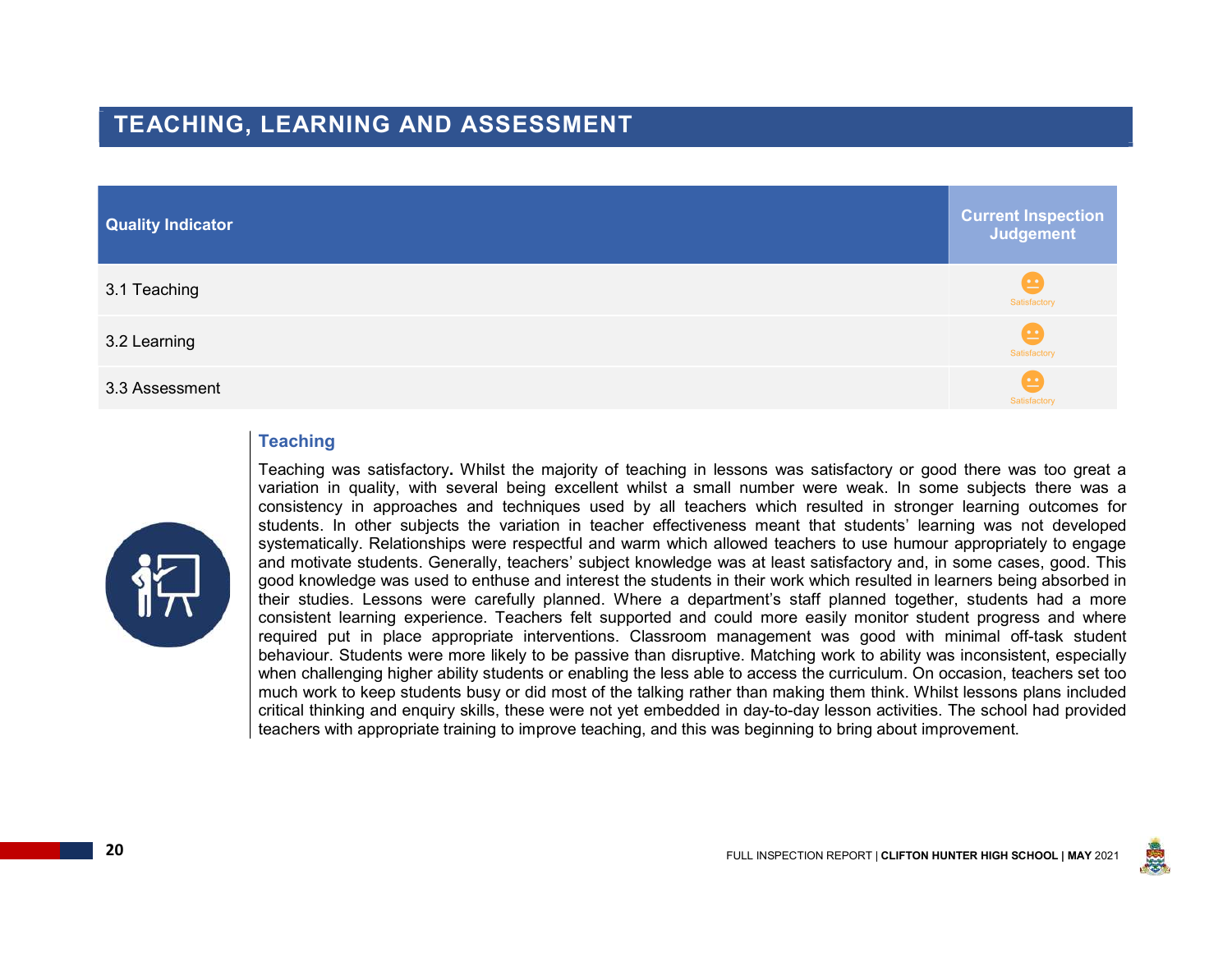### TEACHING, LEARNING AND ASSESSMENT

| <b>Quality Indicator</b> | <b>Current Inspection</b><br>Judgement              |
|--------------------------|-----------------------------------------------------|
| 3.1 Teaching             | $\bullet$<br>Satisfactory                           |
| 3.2 Learning             | $\left( \underline{\cdots} \right)$<br>Satisfactory |
| 3.3 Assessment           | $\left  \underline{\cdots} \right $<br>Satisfactory |

#### **Teaching**



Teaching was satisfactory. Whilst the majority of teaching in lessons was satisfactory or good there was too great a variation in quality, with several being excellent whilst a small number were weak. In some subjects there was a consistency in approaches and techniques used by all teachers which resulted in stronger learning outcomes for students. In other subjects the variation in teacher effectiveness meant that students' learning was not developed systematically. Relationships were respectful and warm which allowed teachers to use humour appropriately to engage and motivate students. Generally, teachers' subject knowledge was at least satisfactory and, in some cases, good. This good knowledge was used to enthuse and interest the students in their work which resulted in learners being absorbed in their studies. Lessons were carefully planned. Where a department's staff planned together, students had a more consistent learning experience. Teachers felt supported and could more easily monitor student progress and where required put in place appropriate interventions. Classroom management was good with minimal off-task student behaviour. Students were more likely to be passive than disruptive. Matching work to ability was inconsistent, especially when challenging higher ability students or enabling the less able to access the curriculum. On occasion, teachers set too much work to keep students busy or did most of the talking rather than making them think. Whilst lessons plans included critical thinking and enquiry skills, these were not yet embedded in day-to-day lesson activities. The school had provided teachers with appropriate training to improve teaching, and this was beginning to bring about improvement.

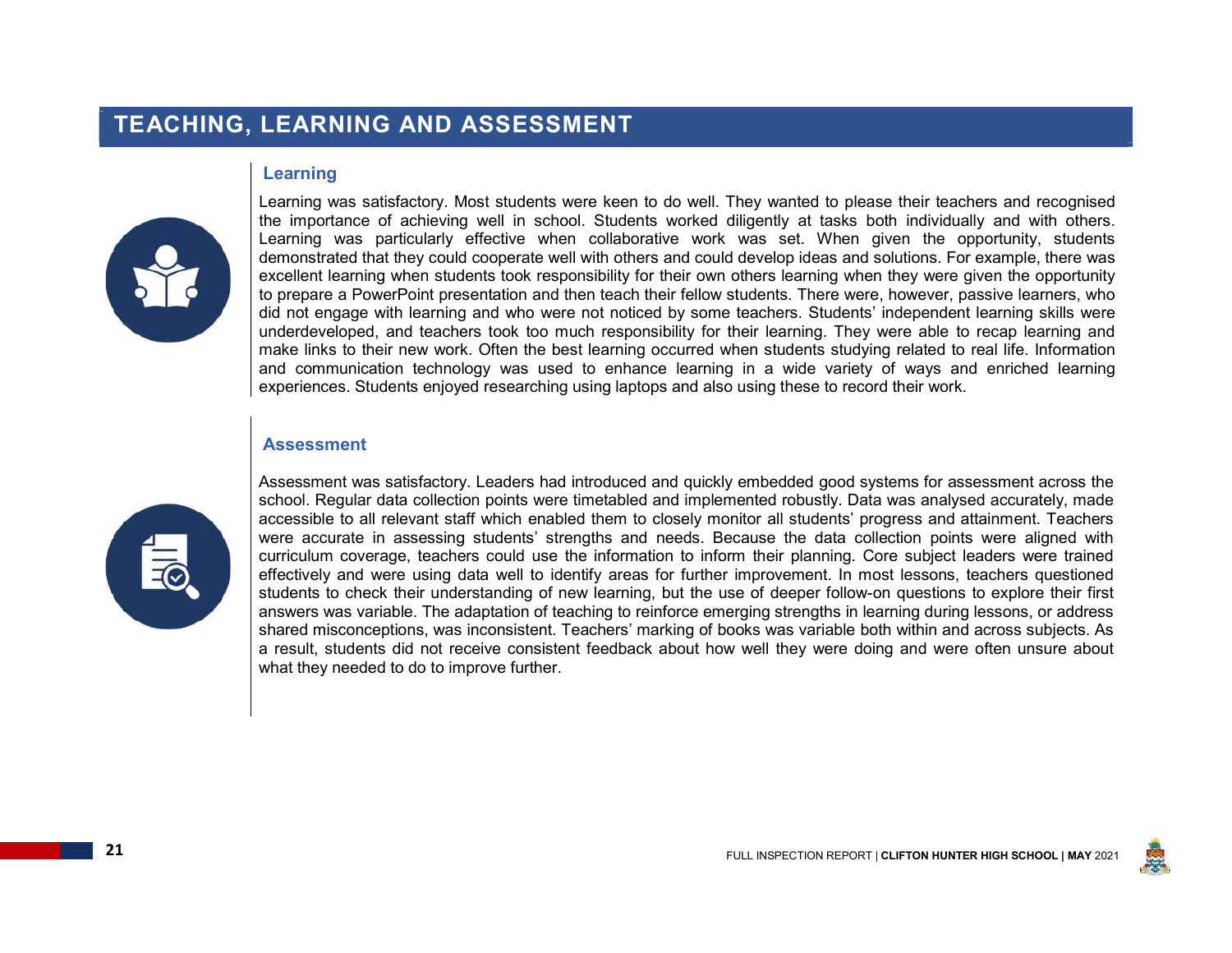### TEACHING, LEARNING AND ASSESSMENT

#### Learning



Learning was satisfactory. Most students were keen to do well. They wanted to please their teachers and recognised the importance of achieving well in school. Students worked diligently at tasks both individually and with others. Learning was particularly effective when collaborative work was set. When given the opportunity, students demonstrated that they could cooperate well with others and could develop ideas and solutions. For example, there was excellent learning when students took responsibility for their own others learning when they were given the opportunity to prepare a PowerPoint presentation and then teach their fellow students. There were, however, passive learners, who did not engage with learning and who were not noticed by some teachers. Students' independent learning skills were underdeveloped, and teachers took too much responsibility for their learning. They were able to recap learning and make links to their new work. Often the best learning occurred when students studying related to real life. Information and communication technology was used to enhance learning in a wide variety of ways and enriched learning experiences. Students enjoyed researching using laptops and also using these to record their work.

#### **Assessment**



Assessment was satisfactory. Leaders had introduced and quickly embedded good systems for assessment across the school. Regular data collection points were timetabled and implemented robustly. Data was analysed accurately, made accessible to all relevant staff which enabled them to closely monitor all students' progress and attainment. Teachers were accurate in assessing students' strengths and needs. Because the data collection points were aligned with curriculum coverage, teachers could use the information to inform their planning. Core subject leaders were trained effectively and were using data well to identify areas for further improvement. In most lessons, teachers questioned students to check their understanding of new learning, but the use of deeper follow-on questions to explore their first answers was variable. The adaptation of teaching to reinforce emerging strengths in learning during lessons, or address shared misconceptions, was inconsistent. Teachers' marking of books was variable both within and across subjects. As a result, students did not receive consistent feedback about how well they were doing and were often unsure about what they needed to do to improve further.

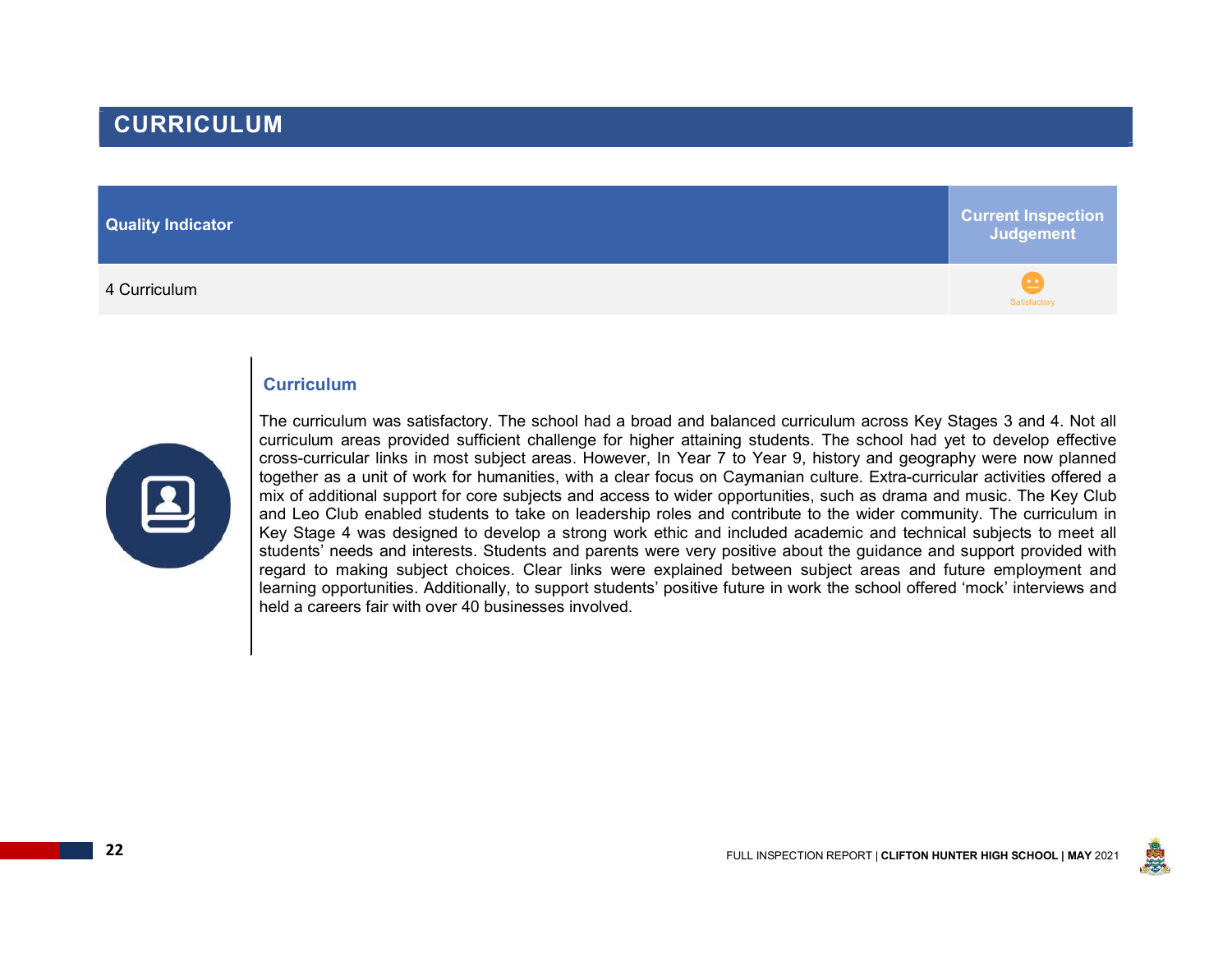# $\overbrace{\phantom{a}}^{\text{2}}$  and  $\overbrace{\phantom{a}}^{\text{3}}$  and  $\overbrace{\phantom{a}}^{\text{3}}$  and  $\overbrace{\phantom{a}}^{\text{4}}$  and  $\overbrace{\phantom{a}}^{\text{4}}$  and  $\overbrace{\phantom{a}}^{\text{4}}$  and  $\overbrace{\phantom{a}}^{\text{4}}$  and  $\overbrace{\phantom{a}}^{\text{5}}$  and  $\overbrace{\phantom{a}}^{\text{6}}$  and  $\overbrace{\phantom{a}}^{\text{6}}$  and

Quality Indicator Current Inspection **Judgement** 

#### **Curriculum**



The curriculum was satisfactory. The school had a broad and balanced curriculum across Key Stages 3 and 4. Not all curriculum areas provided sufficient challenge for higher attaining students. The school had yet to develop effective cross-curricular links in most subject areas. However, In Year 7 to Year 9, history and geography were now planned together as a unit of work for humanities, with a clear focus on Caymanian culture. Extra-curricular activities offered a mix of additional support for core subjects and access to wider opportunities, such as drama and music. The Key Club and Leo Club enabled students to take on leadership roles and contribute to the wider community. The curriculum in Key Stage 4 was designed to develop a strong work ethic and included academic and technical subjects to meet all students' needs and interests. Students and parents were very positive about the guidance and support provided with regard to making subject choices. Clear links were explained between subject areas and future employment and learning opportunities. Additionally, to support students' positive future in work the school offered 'mock' interviews and held a careers fair with over 40 businesses involved.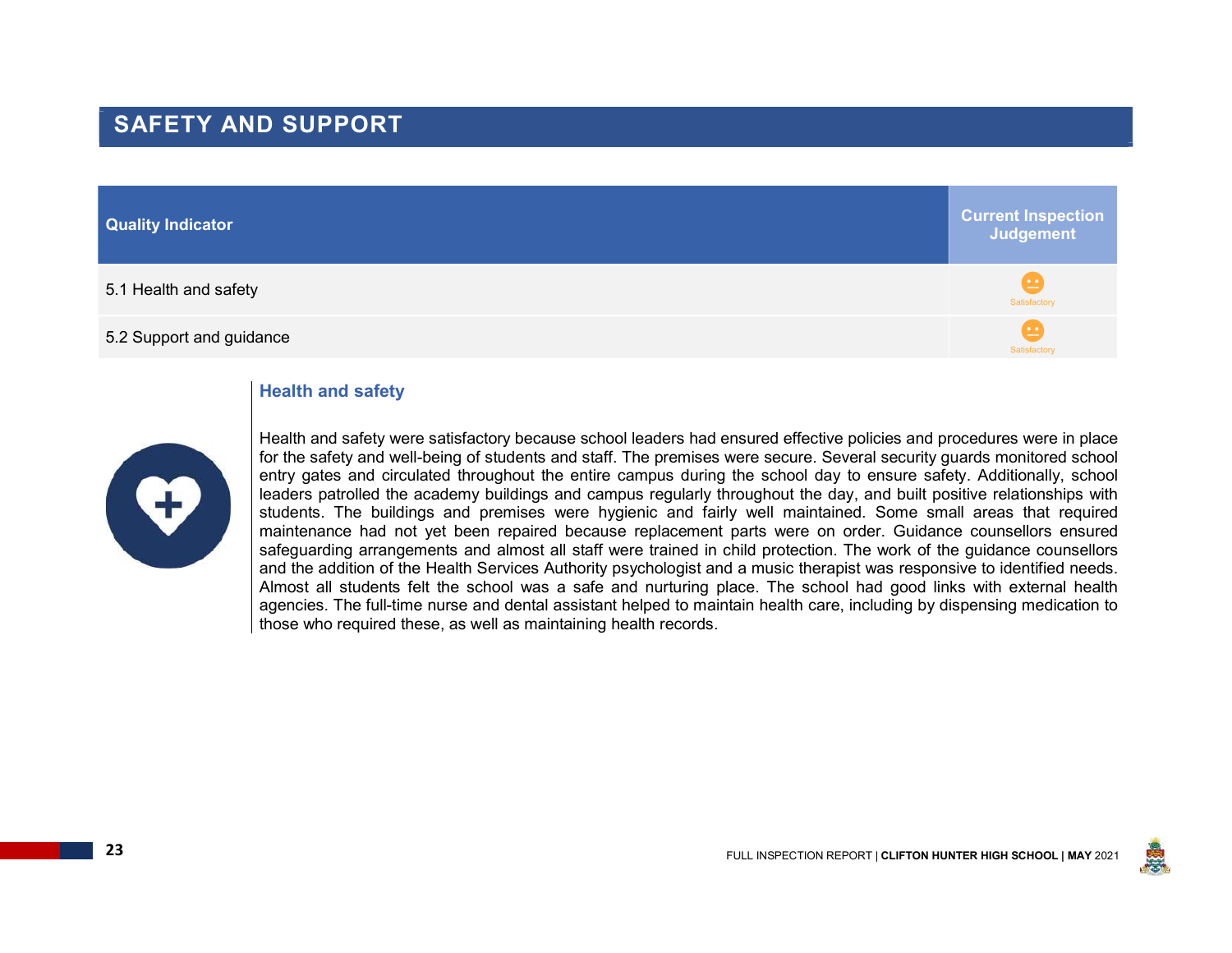# SAFETY AND SUPPORT

# Quality Indicator Current Inspection **Judgement**  $5.1$  Health and safety  $\mathbb{S}^{3}$  and  $\mathbb{S}^{4}$  and  $\mathbb{S}^{4}$  and  $\mathbb{S}^{4}$  and  $\mathbb{S}^{4}$  and  $\mathbb{S}^{4}$  and  $\mathbb{S}^{4}$  and  $\mathbb{S}^{4}$  and  $\mathbb{S}^{4}$  and  $\mathbb{S}^{4}$  and  $\mathbb{S}^{4}$  and  $\mathbb{S}^{4}$  and  $\mathbb{$  $5.2$  Support and guidance  $\frac{1}{\text{Satisfactory}}$

### Health and safety



Health and safety were satisfactory because school leaders had ensured effective policies and procedures were in place for the safety and well-being of students and staff. The premises were secure. Several security guards monitored school entry gates and circulated throughout the entire campus during the school day to ensure safety. Additionally, school leaders patrolled the academy buildings and campus regularly throughout the day, and built positive relationships with students. The buildings and premises were hygienic and fairly well maintained. Some small areas that required maintenance had not yet been repaired because replacement parts were on order. Guidance counsellors ensured safeguarding arrangements and almost all staff were trained in child protection. The work of the guidance counsellors and the addition of the Health Services Authority psychologist and a music therapist was responsive to identified needs. Almost all students felt the school was a safe and nurturing place. The school had good links with external health agencies. The full-time nurse and dental assistant helped to maintain health care, including by dispensing medication to those who required these, as well as maintaining health records.

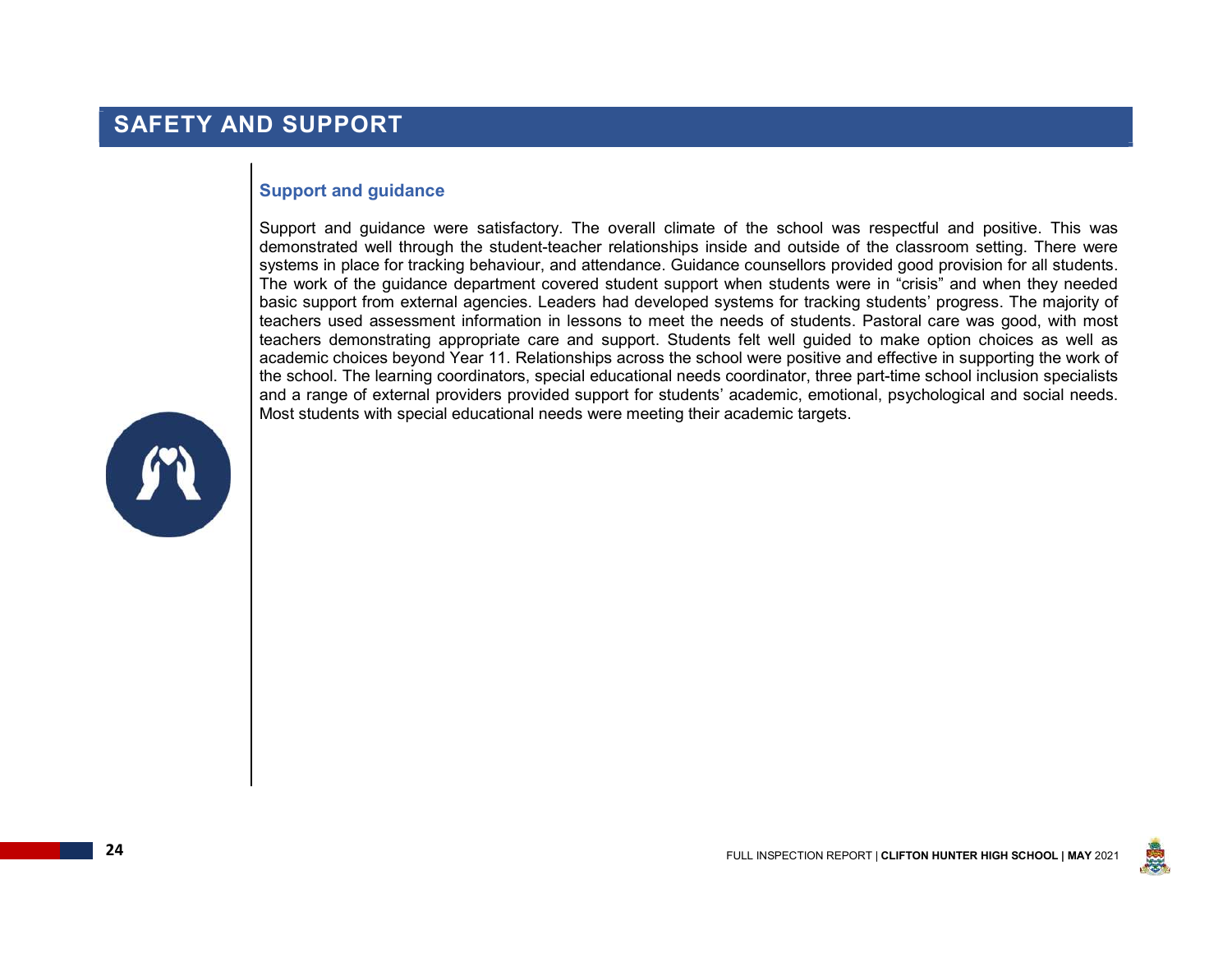# SAFETY AND SUPPORT

#### Support and guidance

Support and guidance were satisfactory. The overall climate of the school was respectful and positive. This was demonstrated well through the student-teacher relationships inside and outside of the classroom setting. There were systems in place for tracking behaviour, and attendance. Guidance counsellors provided good provision for all students. The work of the guidance department covered student support when students were in "crisis" and when they needed basic support from external agencies. Leaders had developed systems for tracking students' progress. The majority of teachers used assessment information in lessons to meet the needs of students. Pastoral care was good, with most teachers demonstrating appropriate care and support. Students felt well guided to make option choices as well as academic choices beyond Year 11. Relationships across the school were positive and effective in supporting the work of the school. The learning coordinators, special educational needs coordinator, three part-time school inclusion specialists and a range of external providers provided support for students' academic, emotional, psychological and social needs. Most students with special educational needs were meeting their academic targets.



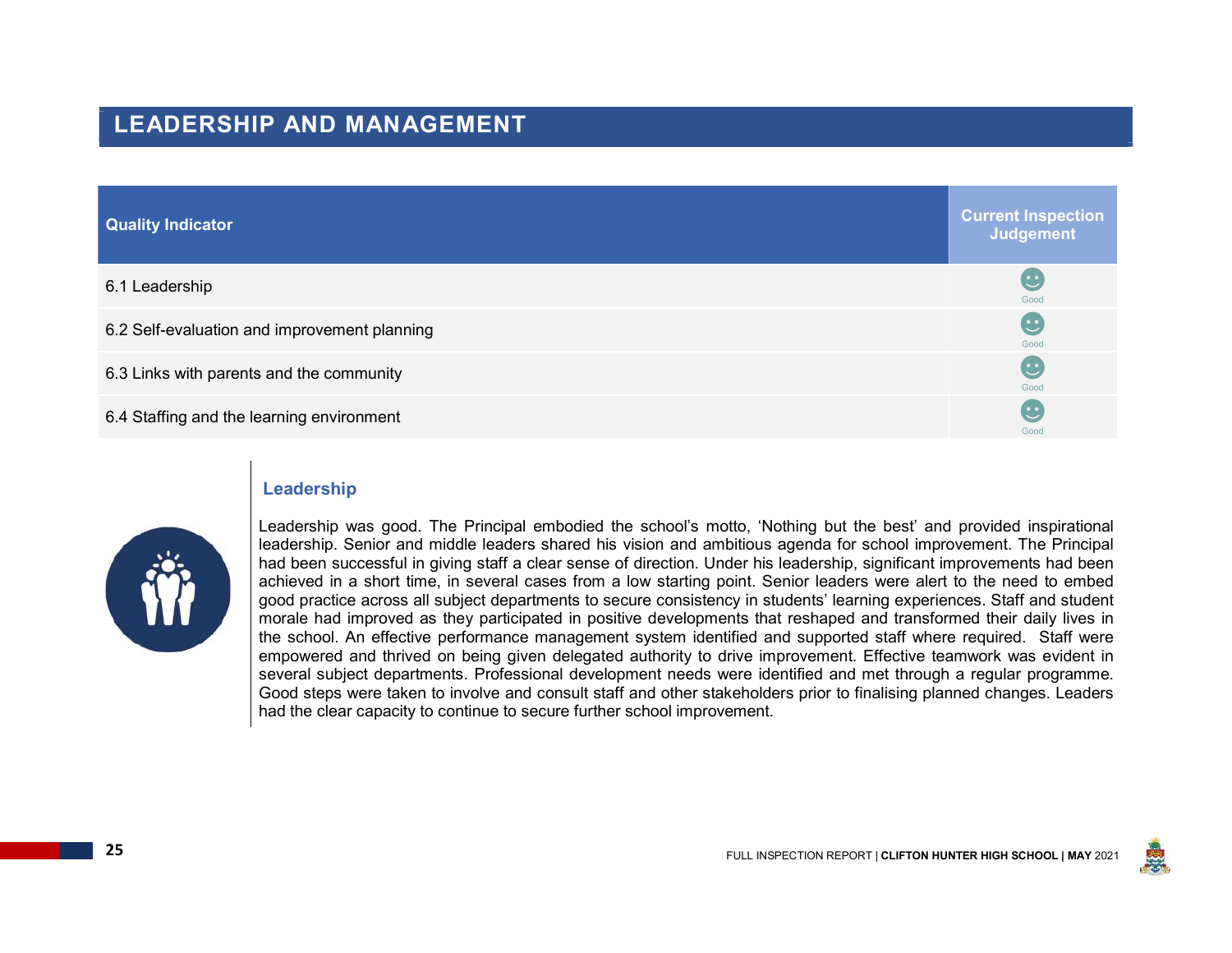### LEADERSHIP AND MANAGEMENT

| <b>Quality Indicator</b>                     | <b>Current Inspection</b><br><b>Judgement</b> |
|----------------------------------------------|-----------------------------------------------|
| 6.1 Leadership                               | C<br>Good                                     |
| 6.2 Self-evaluation and improvement planning | ( <u>•</u><br>Good                            |
| 6.3 Links with parents and the community     | ( <u>•</u><br>Good                            |
| 6.4 Staffing and the learning environment    | ( <u>•</u><br>Good                            |

#### Leadership



Leadership was good. The Principal embodied the school's motto, 'Nothing but the best' and provided inspirational leadership. Senior and middle leaders shared his vision and ambitious agenda for school improvement. The Principal had been successful in giving staff a clear sense of direction. Under his leadership, significant improvements had been achieved in a short time, in several cases from a low starting point. Senior leaders were alert to the need to embed good practice across all subject departments to secure consistency in students' learning experiences. Staff and student morale had improved as they participated in positive developments that reshaped and transformed their daily lives in the school. An effective performance management system identified and supported staff where required. Staff were empowered and thrived on being given delegated authority to drive improvement. Effective teamwork was evident in several subject departments. Professional development needs were identified and met through a regular programme. Good steps were taken to involve and consult staff and other stakeholders prior to finalising planned changes. Leaders had the clear capacity to continue to secure further school improvement.

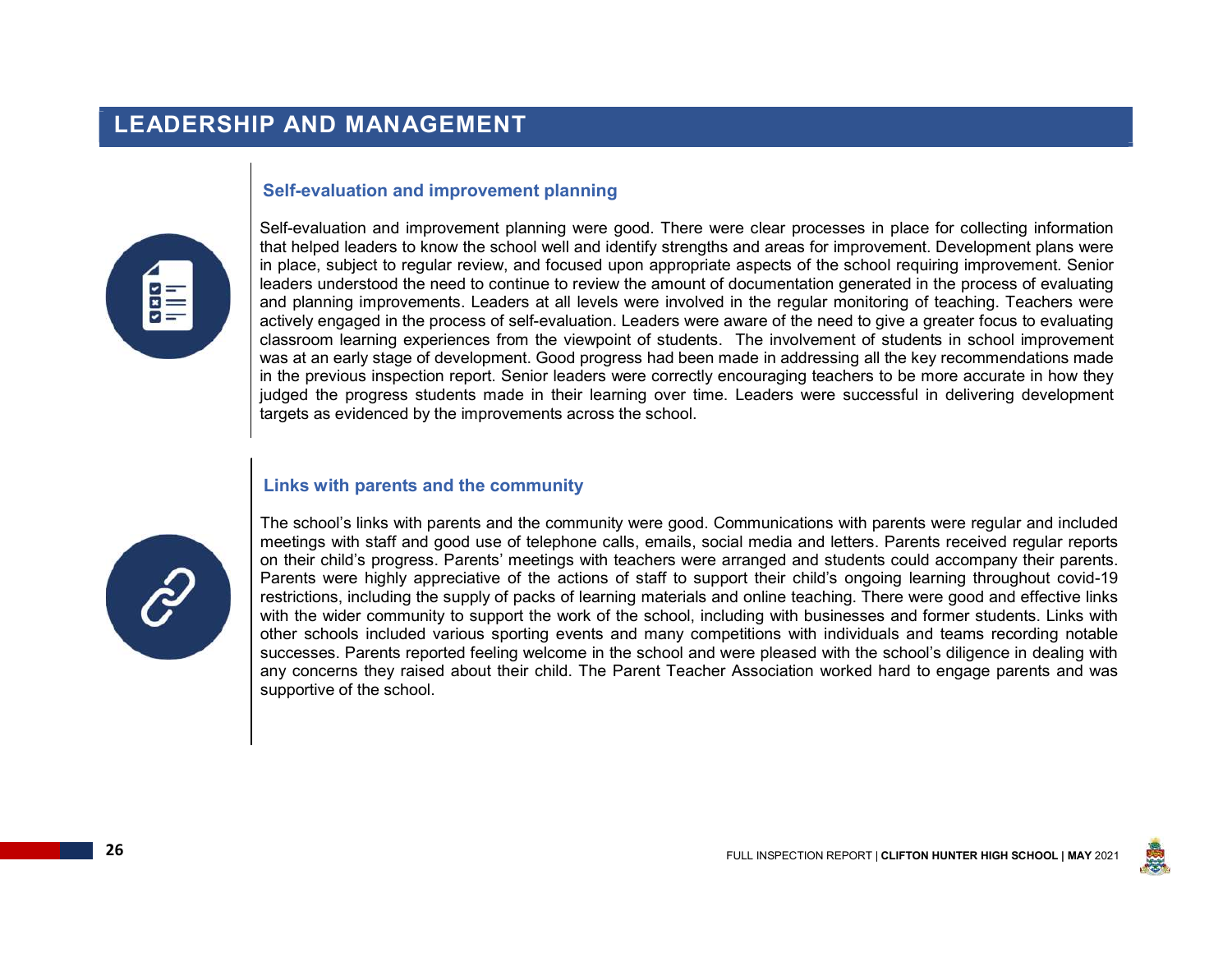## LEADERSHIP AND MANAGEMENT

#### Self-evaluation and improvement planning



Self-evaluation and improvement planning were good. There were clear processes in place for collecting information that helped leaders to know the school well and identify strengths and areas for improvement. Development plans were in place, subject to regular review, and focused upon appropriate aspects of the school requiring improvement. Senior leaders understood the need to continue to review the amount of documentation generated in the process of evaluating and planning improvements. Leaders at all levels were involved in the regular monitoring of teaching. Teachers were actively engaged in the process of self-evaluation. Leaders were aware of the need to give a greater focus to evaluating classroom learning experiences from the viewpoint of students. The involvement of students in school improvement was at an early stage of development. Good progress had been made in addressing all the key recommendations made in the previous inspection report. Senior leaders were correctly encouraging teachers to be more accurate in how they judged the progress students made in their learning over time. Leaders were successful in delivering development targets as evidenced by the improvements across the school.

#### Links with parents and the community



The school's links with parents and the community were good. Communications with parents were regular and included meetings with staff and good use of telephone calls, emails, social media and letters. Parents received regular reports on their child's progress. Parents' meetings with teachers were arranged and students could accompany their parents. Parents were highly appreciative of the actions of staff to support their child's ongoing learning throughout covid-19 restrictions, including the supply of packs of learning materials and online teaching. There were good and effective links with the wider community to support the work of the school, including with businesses and former students. Links with other schools included various sporting events and many competitions with individuals and teams recording notable successes. Parents reported feeling welcome in the school and were pleased with the school's diligence in dealing with any concerns they raised about their child. The Parent Teacher Association worked hard to engage parents and was supportive of the school.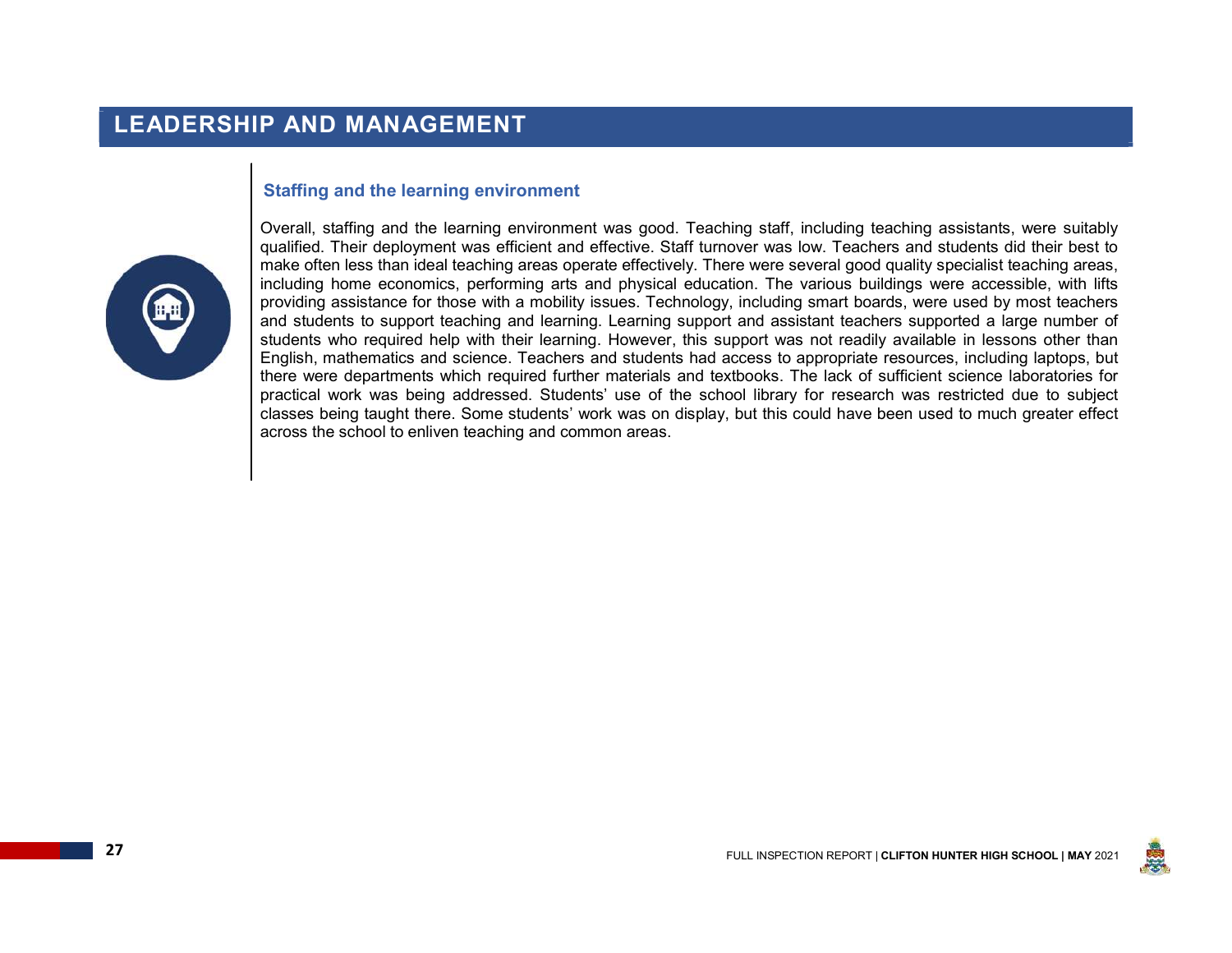## LEADERSHIP AND MANAGEMENT

#### Staffing and the learning environment



Overall, staffing and the learning environment was good. Teaching staff, including teaching assistants, were suitably qualified. Their deployment was efficient and effective. Staff turnover was low. Teachers and students did their best to make often less than ideal teaching areas operate effectively. There were several good quality specialist teaching areas, including home economics, performing arts and physical education. The various buildings were accessible, with lifts providing assistance for those with a mobility issues. Technology, including smart boards, were used by most teachers and students to support teaching and learning. Learning support and assistant teachers supported a large number of students who required help with their learning. However, this support was not readily available in lessons other than English, mathematics and science. Teachers and students had access to appropriate resources, including laptops, but there were departments which required further materials and textbooks. The lack of sufficient science laboratories for practical work was being addressed. Students' use of the school library for research was restricted due to subject classes being taught there. Some students' work was on display, but this could have been used to much greater effect across the school to enliven teaching and common areas.

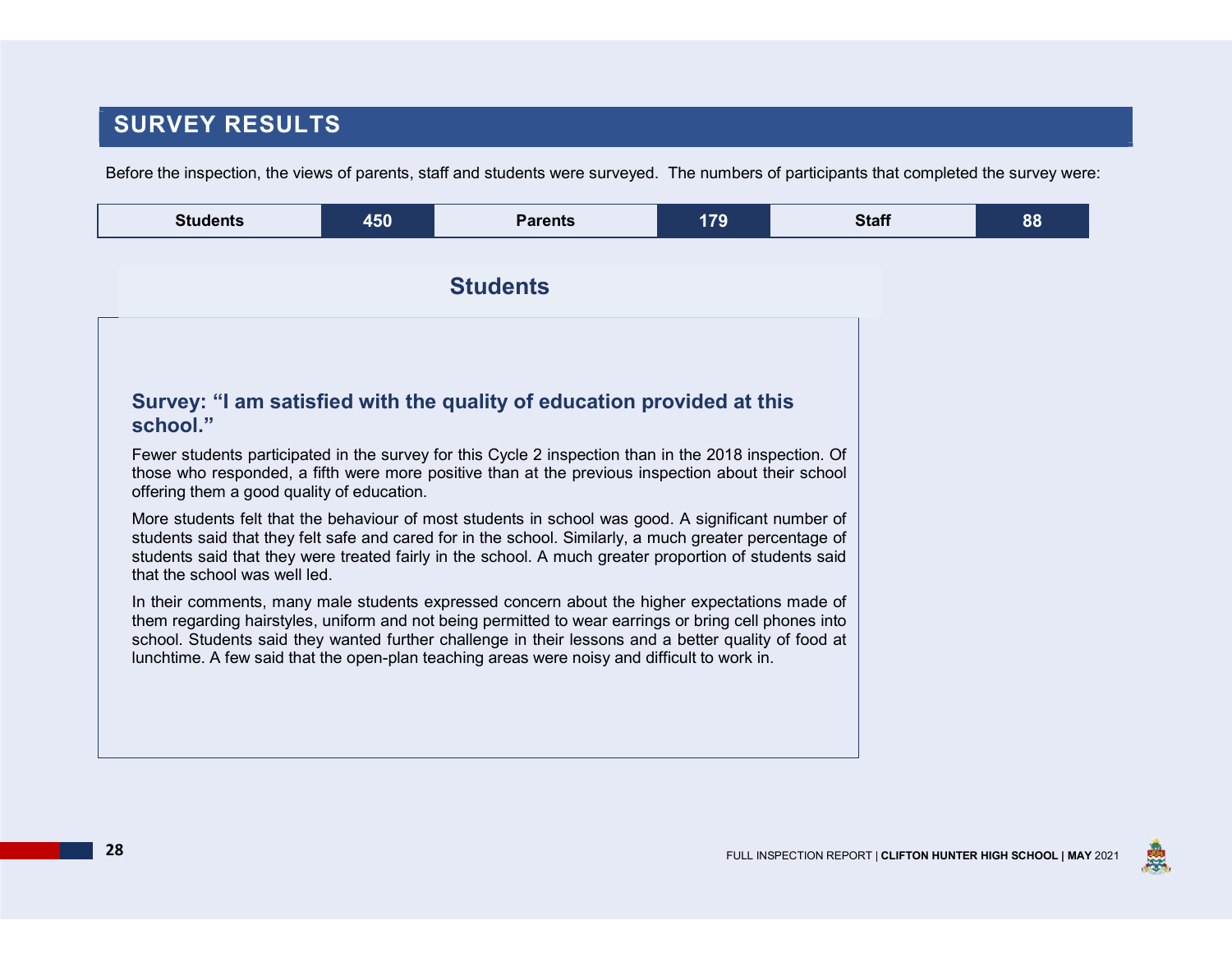# SURVEY RESULTS

Before the inspection, the views of parents, staff and students were surveyed. The numbers of participants that completed the survey were:

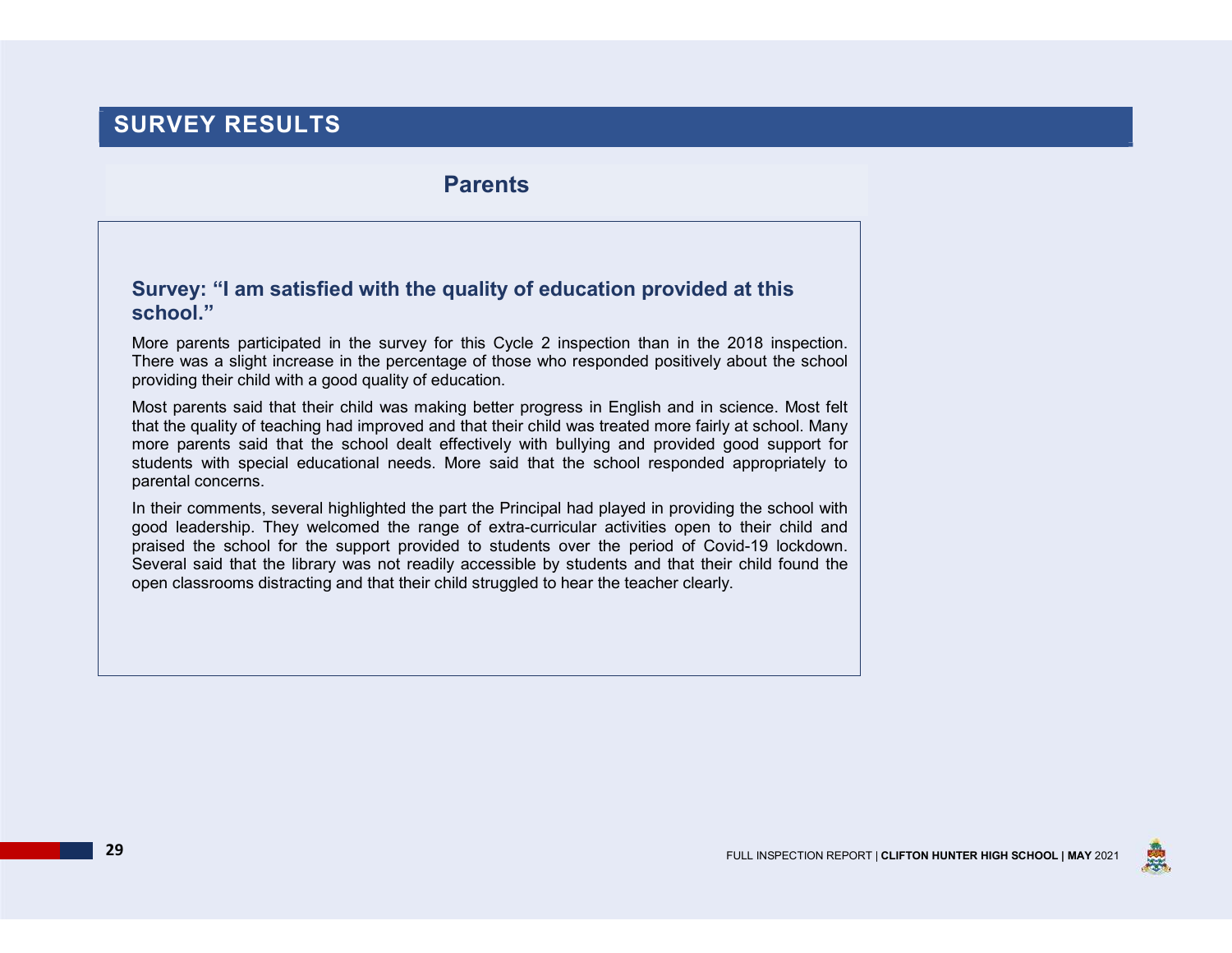# SURVEY RESULTS

### Parents

### Survey: "I am satisfied with the quality of education provided at this school."

More parents participated in the survey for this Cycle 2 inspection than in the 2018 inspection. There was a slight increase in the percentage of those who responded positively about the school providing their child with a good quality of education.

Most parents said that their child was making better progress in English and in science. Most felt that the quality of teaching had improved and that their child was treated more fairly at school. Many more parents said that the school dealt effectively with bullying and provided good support for students with special educational needs. More said that the school responded appropriately to parental concerns.

In their comments, several highlighted the part the Principal had played in providing the school with good leadership. They welcomed the range of extra-curricular activities open to their child and praised the school for the support provided to students over the period of Covid-19 lockdown. Several said that the library was not readily accessible by students and that their child found the open classrooms distracting and that their child struggled to hear the teacher clearly.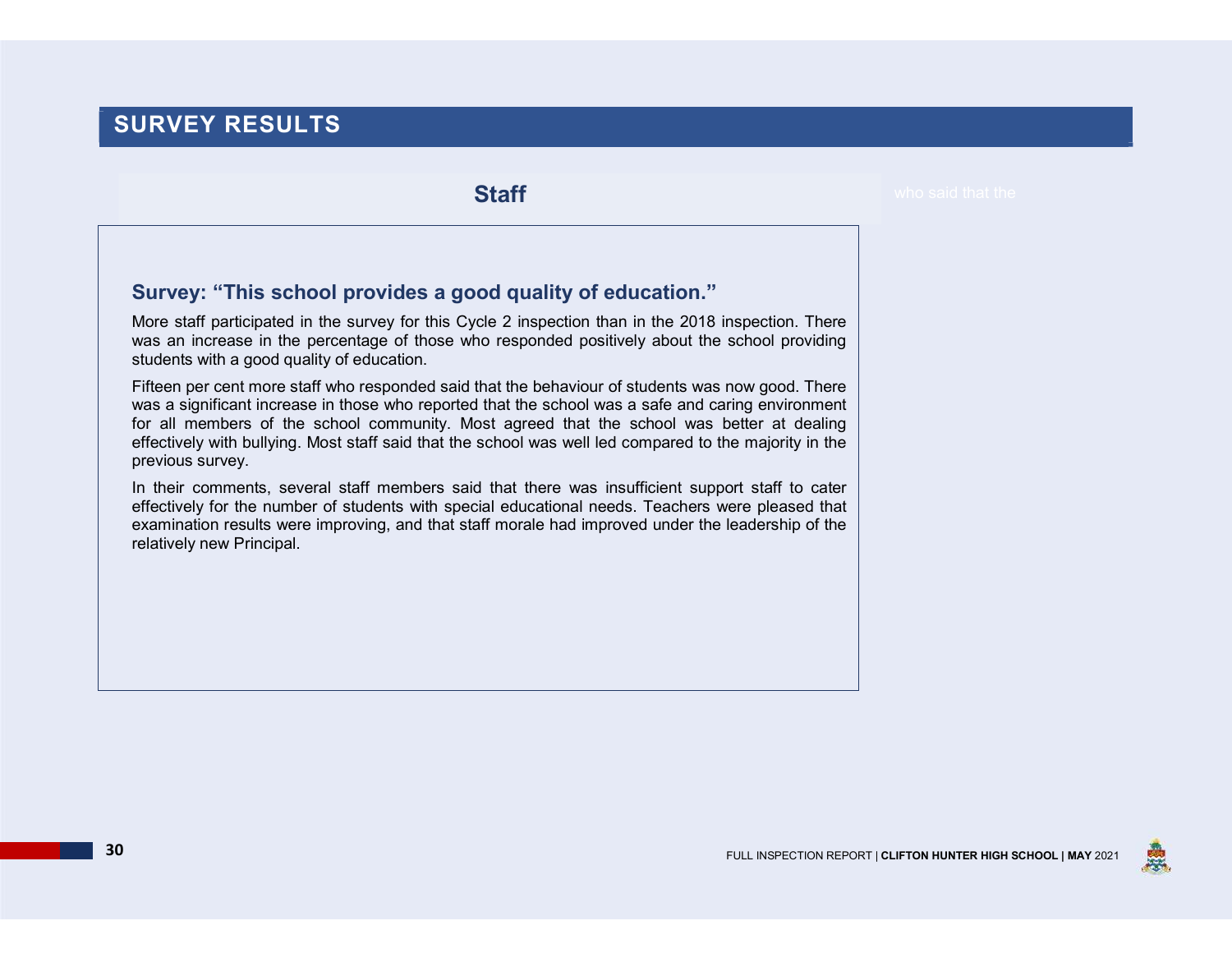# SURVEY RESULTS

**Staff** 

### Survey: "This school provides a good quality of education."

More staff participated in the survey for this Cycle 2 inspection than in the 2018 inspection. There was an increase in the percentage of those who responded positively about the school providing students with a good quality of education.

Fifteen per cent more staff who responded said that the behaviour of students was now good. There was a significant increase in those who reported that the school was a safe and caring environment for all members of the school community. Most agreed that the school was better at dealing effectively with bullying. Most staff said that the school was well led compared to the majority in the previous survey.

In their comments, several staff members said that there was insufficient support staff to cater effectively for the number of students with special educational needs. Teachers were pleased that examination results were improving, and that staff morale had improved under the leadership of the relatively new Principal.



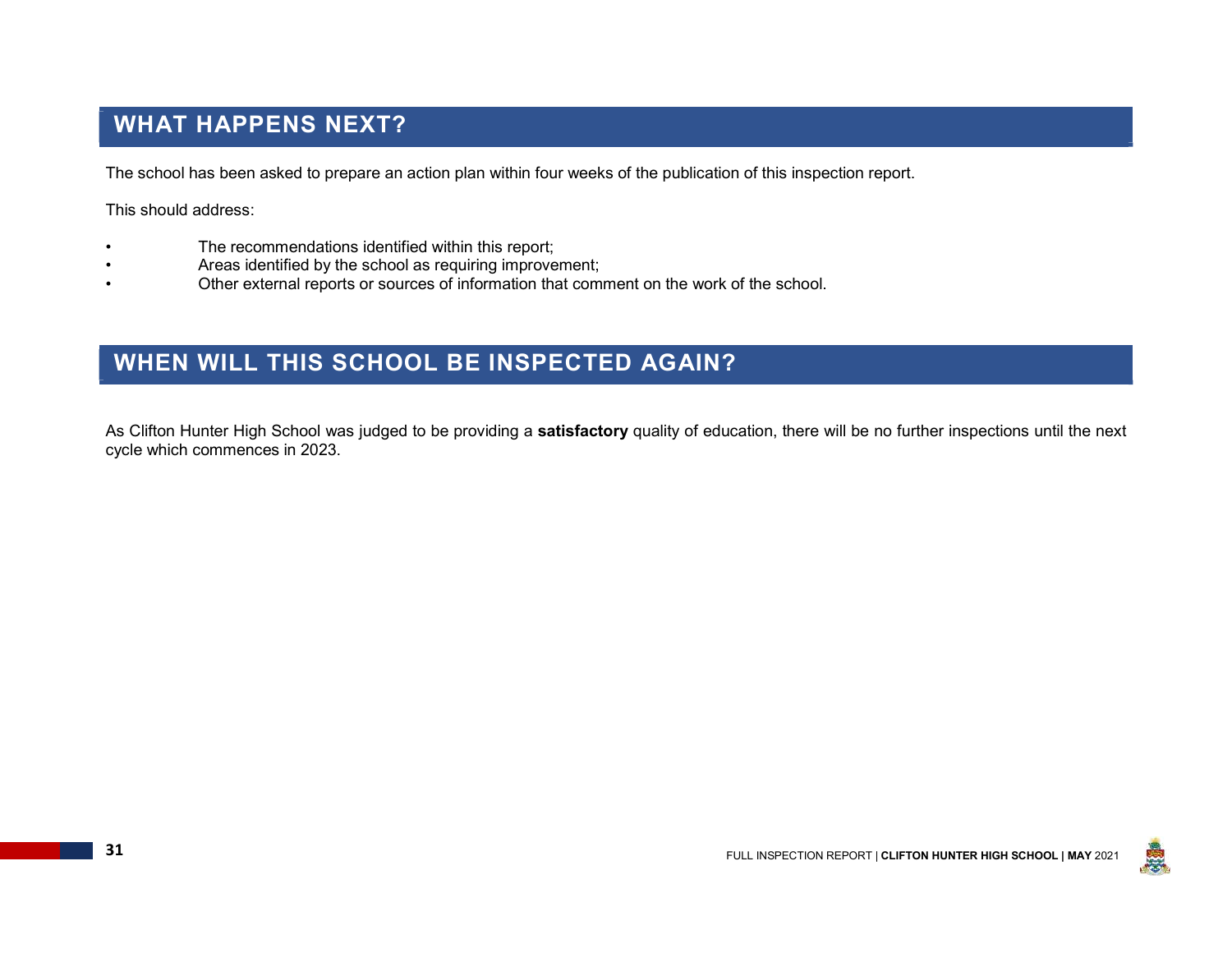# WHAT HAPPENS NEXT?

The school has been asked to prepare an action plan within four weeks of the publication of this inspection report.

This should address:

- The recommendations identified within this report;
- Areas identified by the school as requiring improvement;
- Other external reports or sources of information that comment on the work of the school.

## WHEN WILL THIS SCHOOL BE INSPECTED AGAIN?

As Clifton Hunter High School was judged to be providing a satisfactory quality of education, there will be no further inspections until the next cycle which commences in 2023.

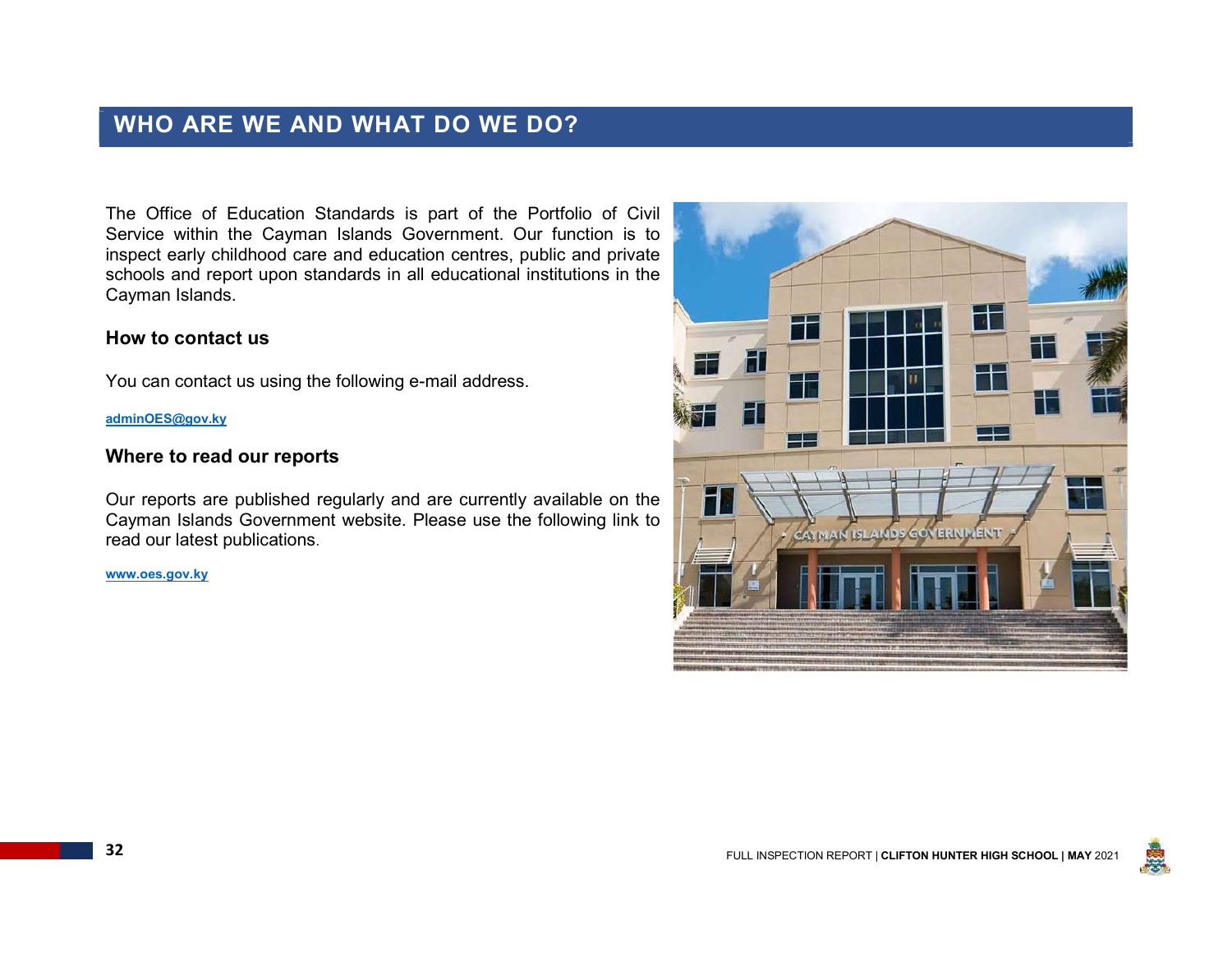# WHO ARE WE AND WHAT DO WE DO?

The Office of Education Standards is part of the Portfolio of Civil Service within the Cayman Islands Government. Our function is to inspect early childhood care and education centres, public and private schools and report upon standards in all educational institutions in the Cayman Islands.

#### How to contact us

You can contact us using the following e-mail address.

#### adminOES@gov.ky

#### Where to read our reports

Our reports are published regularly and are currently available on the Cayman Islands Government website. Please use the following link to the community of the property of the property of the property of the property of the property of the property of the property of the property of the prope read our latest publications.

www.oes.gov.ky